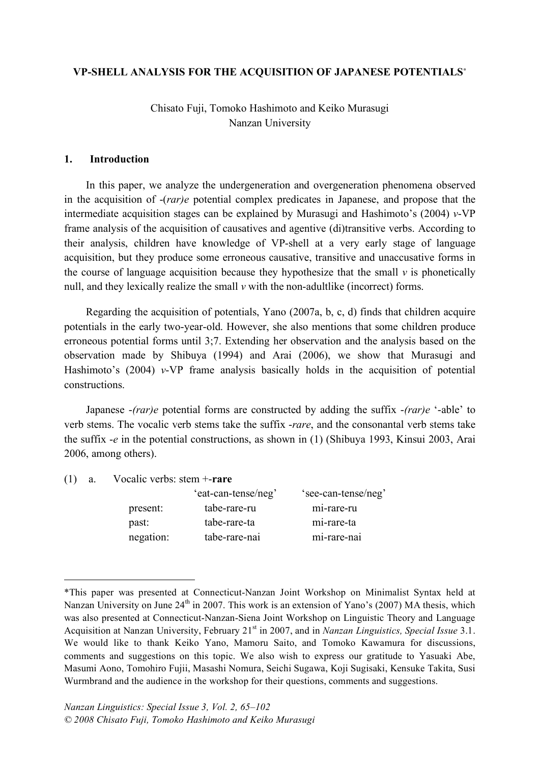# **VP-SHELL ANALYSIS FOR THE ACQUISITION OF JAPANESE POTENTIALS**<sup>∗</sup>

Chisato Fuji, Tomoko Hashimoto and Keiko Murasugi Nanzan University

#### **1. Introduction**

In this paper, we analyze the undergeneration and overgeneration phenomena observed in the acquisition of -(*rar)e* potential complex predicates in Japanese, and propose that the intermediate acquisition stages can be explained by Murasugi and Hashimoto's (2004) *v*-VP frame analysis of the acquisition of causatives and agentive (di)transitive verbs. According to their analysis, children have knowledge of VP-shell at a very early stage of language acquisition, but they produce some erroneous causative, transitive and unaccusative forms in the course of language acquisition because they hypothesize that the small  $\nu$  is phonetically null, and they lexically realize the small  $\nu$  with the non-adultlike (incorrect) forms.

Regarding the acquisition of potentials, Yano (2007a, b, c, d) finds that children acquire potentials in the early two-year-old. However, she also mentions that some children produce erroneous potential forms until 3;7. Extending her observation and the analysis based on the observation made by Shibuya (1994) and Arai (2006), we show that Murasugi and Hashimoto's (2004) *v*-VP frame analysis basically holds in the acquisition of potential constructions.

Japanese -*(rar)e* potential forms are constructed by adding the suffix -*(rar)e* '-able' to verb stems. The vocalic verb stems take the suffix -*rare*, and the consonantal verb stems take the suffix -*e* in the potential constructions, as shown in (1) (Shibuya 1993, Kinsui 2003, Arai 2006, among others).

(1) a. Vocalic verbs: stem +-**rare**

<u>.</u>

|           | 'eat-can-tense/neg' | 'see-can-tense/neg' |
|-----------|---------------------|---------------------|
| present:  | tabe-rare-ru        | mi-rare-ru          |
| past:     | tabe-rare-ta        | mi-rare-ta          |
| negation: | tabe-rare-nai       | mi-rare-nai         |
|           |                     |                     |

<sup>\*</sup>This paper was presented at Connecticut-Nanzan Joint Workshop on Minimalist Syntax held at Nanzan University on June  $24<sup>th</sup>$  in 2007. This work is an extension of Yano's (2007) MA thesis, which was also presented at Connecticut-Nanzan-Siena Joint Workshop on Linguistic Theory and Language Acquisition at Nanzan University, February 21<sup>st</sup> in 2007, and in *Nanzan Linguistics, Special Issue* 3.1. We would like to thank Keiko Yano, Mamoru Saito, and Tomoko Kawamura for discussions, comments and suggestions on this topic. We also wish to express our gratitude to Yasuaki Abe, Masumi Aono, Tomohiro Fujii, Masashi Nomura, Seichi Sugawa, Koji Sugisaki, Kensuke Takita, Susi Wurmbrand and the audience in the workshop for their questions, comments and suggestions.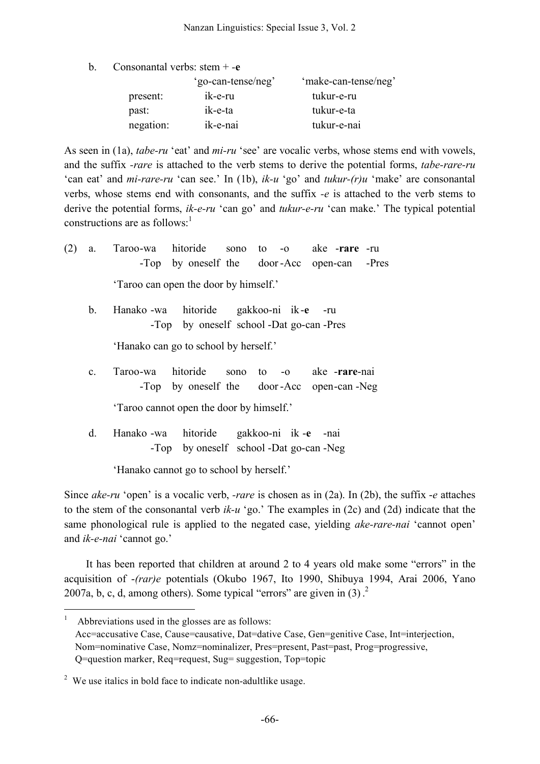| b. | Consonantal verbs: $stem + -e$ |  |  |  |
|----|--------------------------------|--|--|--|
|----|--------------------------------|--|--|--|

|           | 'go-can-tense/neg' | 'make-can-tense/neg' |
|-----------|--------------------|----------------------|
| present:  | ik-e-ru            | tukur-e-ru           |
| past:     | ik-e-ta            | tukur-e-ta           |
| negation: | ik-e-nai           | tukur-e-nai          |

As seen in (1a), *tabe-ru* 'eat' and *mi-ru* 'see' are vocalic verbs, whose stems end with vowels, and the suffix *-rare* is attached to the verb stems to derive the potential forms, *tabe-rare-ru* 'can eat' and *mi-rare-ru* 'can see.' In (1b), *ik-u* 'go' and *tukur-(r)u* 'make' are consonantal verbs, whose stems end with consonants, and the suffix *-e* is attached to the verb stems to derive the potential forms, *ik-e-ru* 'can go' and *tukur-e-ru* 'can make.' The typical potential constructions are as follows: 1

(2) a. Taroo-wa hitoride sono to -o ake -**rare** -ru -Top by oneself the door -Acc open-can -Pres 'Taroo can open the door by himself.'

b. Hanako -wa hitoride gakkoo-ni ik-**e** -ru -Top by oneself school -Dat go-can -Pres

'Hanako can go to school by herself.'

c. Taroo-wa hitoride sono to -o ake -**rare**-nai -Top by oneself the door -Acc open-can -Neg

'Taroo cannot open the door by himself.'

d. Hanako -wa hitoride gakkoo-ni ik -**e** -nai -Top by oneself school -Dat go-can -Neg

'Hanako cannot go to school by herself.'

Since *ake-ru* 'open' is a vocalic verb, *-rare* is chosen as in (2a). In (2b), the suffix -*e* attaches to the stem of the consonantal verb *ik-u* 'go.' The examples in (2c) and (2d) indicate that the same phonological rule is applied to the negated case, yielding *ake-rare-nai* 'cannot open' and *ik-e-nai* 'cannot go.'

It has been reported that children at around 2 to 4 years old make some "errors" in the acquisition of -*(rar)e* potentials (Okubo 1967, Ito 1990, Shibuya 1994, Arai 2006, Yano 2007a, b, c, d, among others). Some typical "errors" are given in  $(3)$ .

Abbreviations used in the glosses are as follows: Acc=accusative Case, Cause=causative, Dat=dative Case, Gen=genitive Case, Int=interjection, Nom=nominative Case, Nomz=nominalizer, Pres=present, Past=past, Prog=progressive, Q=question marker, Req=request, Sug= suggestion, Top=topic

<sup>&</sup>lt;sup>2</sup> We use italics in bold face to indicate non-adultlike usage.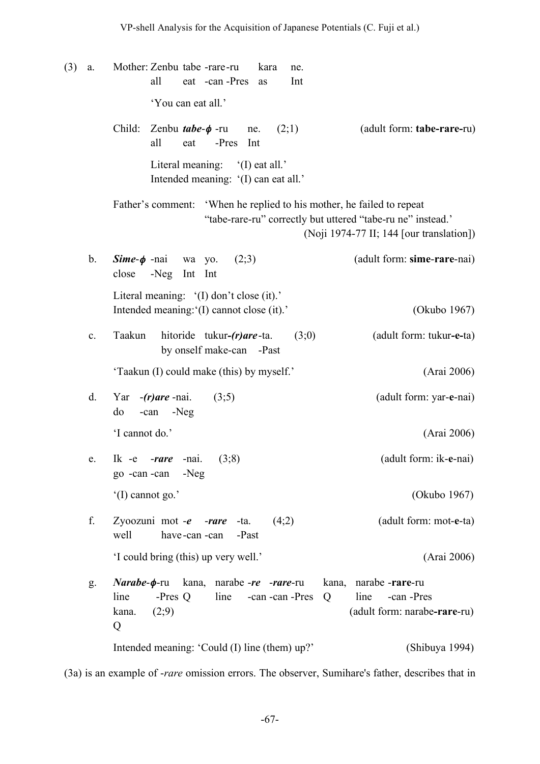(3) a. Mother: Zenbu tabe -rare-ru kara ne. all eat -can -Pres as Int 'You can eat all.' Child: Zenbu *tabe*-φ -ru ne. (2;1) (adult form: **tabe-rare-**ru) all eat -Pres Int Literal meaning: '(I) eat all.' Intended meaning: '(I) can eat all.' Father's comment: 'When he replied to his mother, he failed to repeat "tabe-rare-ru" correctly but uttered "tabe-ru ne" instead.' (Noji 1974-77 II; 144 [our translation]) b. *Sime*-φ -nai wa yo. (2;3) (adult form: **sime**-**rare**-nai) close -Neg Int Int Literal meaning: '(I) don't close (it).' Intended meaning: (I) cannot close (it).' (Okubo 1967) c. Taakun hitoride tukur*-(r)are*-ta. (3;0) (adult form: tukur**-e-**ta) by onself make-can -Past 'Taakun (I) could make (this) by myself.' (Arai 2006) d. Yar -*(r)are* -nai. (3;5) (adult form: yar-**e**-nai) do -can -Neg 'I cannot do.' (Arai 2006) e. Ik -e -*rare* -nai. (3;8) (adult form: ik-**e**-nai) go -can -can -Neg '(I) cannot go.' (Okubo 1967) f. Zyoozuni mot -*e* -*rare* -ta. (4;2) (adult form: mot-**e**-ta) well have-can -can -Past 'I could bring (this) up very well.' (Arai 2006) g. *Narabe*-φ-ru kana, narabe -*re* -*rare*-ru kana, narabe -**rare**-ru line -Pres Q line -can -can -Pres Q line -can -Pres kana. (2;9) (adult form: narabe**-rare**-ru) Q Intended meaning: 'Could (I) line (them) up?' (Shibuya 1994)

(3a) is an example of -*rare* omission errors. The observer, Sumihare's father, describes that in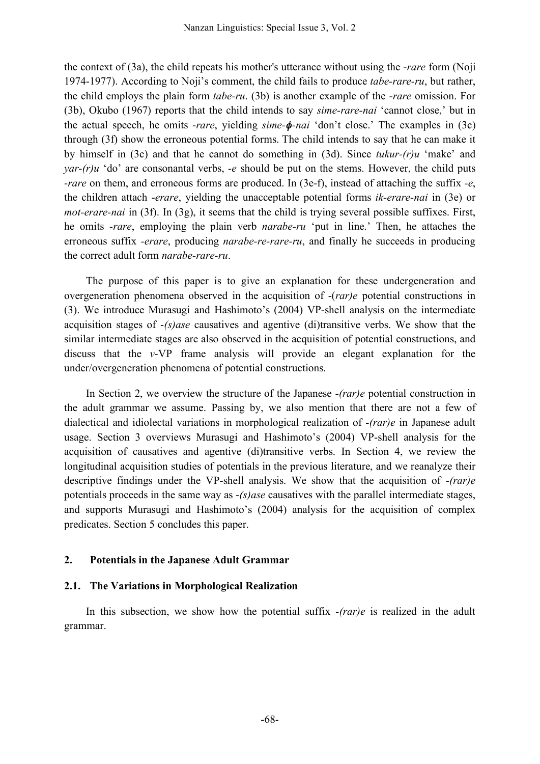the context of (3a), the child repeats his mother's utterance without using the -*rare* form (Noji 1974-1977). According to Noji's comment, the child fails to produce *tabe-rare-ru*, but rather, the child employs the plain form *tabe-ru*. (3b) is another example of the -*rare* omission. For (3b), Okubo (1967) reports that the child intends to say *sime-rare-nai* 'cannot close,' but in the actual speech, he omits -*rare*, yielding *sime-*φ*-nai* 'don't close.' The examples in (3c) through (3f) show the erroneous potential forms. The child intends to say that he can make it by himself in (3c) and that he cannot do something in (3d). Since *tukur-(r)u* 'make' and *yar-(r)u* 'do' are consonantal verbs, *-e* should be put on the stems. However, the child puts -*rare* on them, and erroneous forms are produced. In (3e-f), instead of attaching the suffix *-e*, the children attach -*erare*, yielding the unacceptable potential forms *ik-erare-nai* in (3e) or *mot-erare-nai* in (3f). In (3g), it seems that the child is trying several possible suffixes. First, he omits *-rare*, employing the plain verb *narabe-ru* 'put in line.' Then, he attaches the erroneous suffix *-erare*, producing *narabe-re-rare-ru*, and finally he succeeds in producing the correct adult form *narabe-rare-ru*.

The purpose of this paper is to give an explanation for these undergeneration and overgeneration phenomena observed in the acquisition of -(*rar)e* potential constructions in (3). We introduce Murasugi and Hashimoto's (2004) VP-shell analysis on the intermediate acquisition stages of -*(s)ase* causatives and agentive (di)transitive verbs. We show that the similar intermediate stages are also observed in the acquisition of potential constructions, and discuss that the *v*-VP frame analysis will provide an elegant explanation for the under/overgeneration phenomena of potential constructions.

In Section 2, we overview the structure of the Japanese -*(rar)e* potential construction in the adult grammar we assume. Passing by, we also mention that there are not a few of dialectical and idiolectal variations in morphological realization of -*(rar)e* in Japanese adult usage. Section 3 overviews Murasugi and Hashimoto's (2004) VP-shell analysis for the acquisition of causatives and agentive (di)transitive verbs. In Section 4, we review the longitudinal acquisition studies of potentials in the previous literature, and we reanalyze their descriptive findings under the VP-shell analysis. We show that the acquisition of -*(rar)e* potentials proceeds in the same way as -*(s)ase* causatives with the parallel intermediate stages, and supports Murasugi and Hashimoto's (2004) analysis for the acquisition of complex predicates. Section 5 concludes this paper.

# **2. Potentials in the Japanese Adult Grammar**

# **2.1. The Variations in Morphological Realization**

In this subsection, we show how the potential suffix *-(rar)e* is realized in the adult grammar.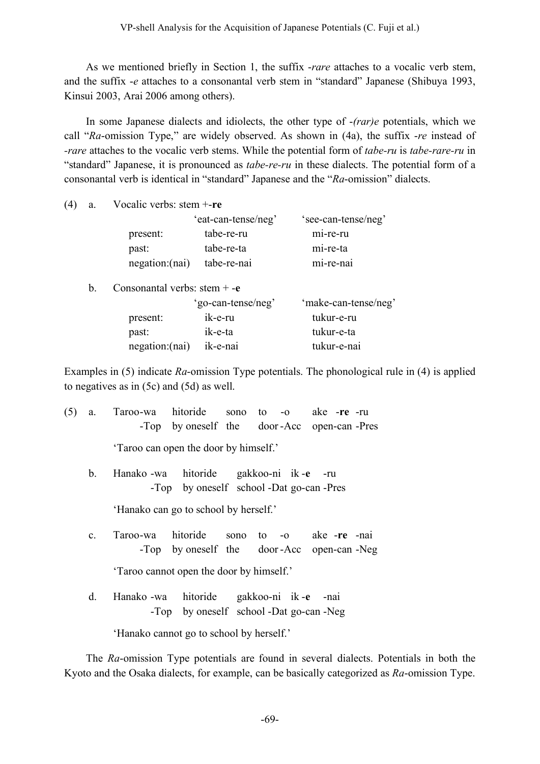As we mentioned briefly in Section 1, the suffix -*rare* attaches to a vocalic verb stem, and the suffix -*e* attaches to a consonantal verb stem in "standard" Japanese (Shibuya 1993, Kinsui 2003, Arai 2006 among others).

In some Japanese dialects and idiolects, the other type of -*(rar)e* potentials, which we call "*Ra*-omission Type," are widely observed. As shown in (4a), the suffix -*re* instead of *-rare* attaches to the vocalic verb stems. While the potential form of *tabe-ru* is *tabe-rare-ru* in "standard" Japanese, it is pronounced as *tabe-re-ru* in these dialects. The potential form of a consonantal verb is identical in "standard" Japanese and the "*Ra*-omission" dialects.

| (4) | a. | Vocalic verbs: stem +-re       |                     |                      |  |  |  |
|-----|----|--------------------------------|---------------------|----------------------|--|--|--|
|     |    |                                | 'eat-can-tense/neg' | 'see-can-tense/neg'  |  |  |  |
|     |    | present:                       | tabe-re-ru          | mi-re-ru             |  |  |  |
|     |    | past:                          | tabe-re-ta          | mi-re-ta             |  |  |  |
|     |    | negation:(nai)                 | tabe-re-nai         | mi-re-nai            |  |  |  |
|     | b. | Consonantal verbs: stem $+$ -e |                     |                      |  |  |  |
|     |    |                                | 'go-can-tense/neg'  | 'make-can-tense/neg' |  |  |  |
|     |    | present:                       | ik-e-ru             | tukur-e-ru           |  |  |  |
|     |    | past:                          | ik-e-ta             | tukur-e-ta           |  |  |  |
|     |    | negation: (nai)                | ik-e-nai            | tukur-e-nai          |  |  |  |
|     |    |                                |                     |                      |  |  |  |

Examples in (5) indicate *Ra*-omission Type potentials. The phonological rule in (4) is applied to negatives as in (5c) and (5d) as well.

| (5)                                   | a.             | Taroo-wa hitoride sono to -o ake -re -ru<br>-Top by oneself the door-Acc open-can-Pres  |  |  |  |  |  |  |  |
|---------------------------------------|----------------|-----------------------------------------------------------------------------------------|--|--|--|--|--|--|--|
|                                       |                | 'Taroo can open the door by himself.'                                                   |  |  |  |  |  |  |  |
|                                       | b.             | Hanako -wa hitoride gakkoo-ni ik -e -ru<br>-Top by oneself school -Dat go-can -Pres     |  |  |  |  |  |  |  |
| 'Hanako can go to school by herself.' |                |                                                                                         |  |  |  |  |  |  |  |
|                                       | $\mathbf{c}$ . | Taroo-wa hitoride sono to -o ake -re -nai<br>-Top by oneself the door-Acc open-can -Neg |  |  |  |  |  |  |  |
|                                       |                | 'Taroo cannot open the door by himself.'                                                |  |  |  |  |  |  |  |
|                                       | d.             | Hanako -wa hitoride gakkoo-ni ik-e -nai<br>-Top by oneself school -Dat go-can -Neg      |  |  |  |  |  |  |  |
|                                       |                | 'Hanako cannot go to school by herself.'                                                |  |  |  |  |  |  |  |

The *Ra*-omission Type potentials are found in several dialects. Potentials in both the Kyoto and the Osaka dialects, for example, can be basically categorized as *Ra*-omission Type.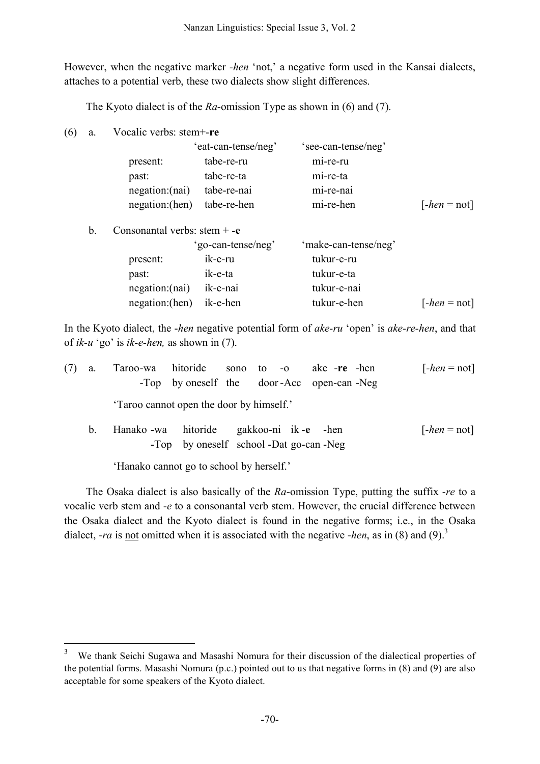However, when the negative marker *-hen* 'not,' a negative form used in the Kansai dialects, attaches to a potential verb, these two dialects show slight differences.

The Kyoto dialect is of the *Ra*-omission Type as shown in (6) and (7).

(6) a. Vocalic verbs: stem+-**re**

|    |                                | 'eat-can-tense/neg' | 'see-can-tense/neg'  |                |
|----|--------------------------------|---------------------|----------------------|----------------|
|    | present:                       | tabe-re-ru          | mi-re-ru             |                |
|    | past:                          | tabe-re-ta          | mi-re-ta             |                |
|    | negation:(nai)                 | tabe-re-nai         | mi-re-nai            |                |
|    | negation: (hen)                | tabe-re-hen         | mi-re-hen            | $[-hen = not]$ |
| h. | Consonantal verbs: stem $+ -e$ |                     |                      |                |
|    |                                | 'go-can-tense/neg'  | 'make-can-tense/neg' |                |

| present:                | ik-e-ru  | tukur-e-ru  |                |
|-------------------------|----------|-------------|----------------|
| past:                   | ik-e-ta  | tukur-e-ta  |                |
| negation:(nai)          | ik-e-nai | tukur-e-nai |                |
| negation:(hen) ik-e-hen |          | tukur-e-hen | $[-hen = not]$ |

In the Kyoto dialect, the -*hen* negative potential form of *ake-ru* 'open' is *ake-re-hen*, and that of *ik-u* 'go' is *ik-e-hen,* as shown in (7).

| (7) | a.      | Taroo-wa hitoride sono to -o ake -re -hen | -Top by oneself the door-Acc open-can-Neg |  |  | $[-hen = not]$ |
|-----|---------|-------------------------------------------|-------------------------------------------|--|--|----------------|
|     |         | 'Taroo cannot open the door by himself.'  |                                           |  |  |                |
|     | $b_{-}$ | Hanako -wa hitoride gakkoo-ni ik-e -hen   | -Top by oneself school -Dat go-can -Neg   |  |  | $[-hen = not]$ |

'Hanako cannot go to school by herself.'

The Osaka dialect is also basically of the *Ra*-omission Type, putting the suffix -*re* to a vocalic verb stem and -*e* to a consonantal verb stem. However, the crucial difference between the Osaka dialect and the Kyoto dialect is found in the negative forms; i.e., in the Osaka dialect,  $-ra$  is <u>not</u> omitted when it is associated with the negative *-hen*, as in (8) and (9).<sup>3</sup>

<sup>&</sup>lt;sup>3</sup> We thank Seichi Sugawa and Masashi Nomura for their discussion of the dialectical properties of the potential forms. Masashi Nomura (p.c.) pointed out to us that negative forms in (8) and (9) are also acceptable for some speakers of the Kyoto dialect.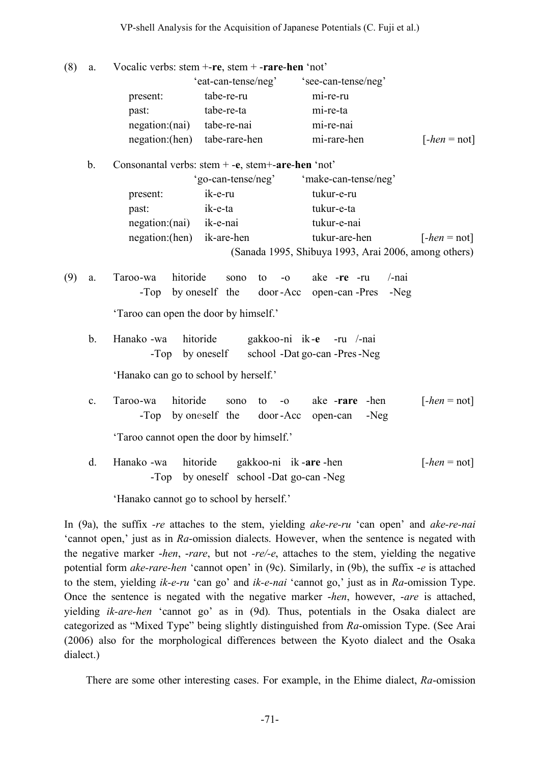#### VP-shell Analysis for the Acquisition of Japanese Potentials (C. Fuji et al.)

- (8) a. Vocalic verbs: stem +-**re**, stem + -**rare**-**hen** 'not' 'eat-can-tense/neg' 'see-can-tense/neg' present: tabe-re-ru mi-re-ru past: tabe-re-ta mi-re-ta negation:(nai) tabe-re-nai mi-re-nai negation:(hen) tabe-rare-hen mi-rare-hen [*-hen* = not]
	- b. Consonantal verbs: stem + -**e**, stem+-**are**-**hen** 'not'

|                           | 'go-can-tense/neg' | 'make-can-tense/neg'                                 |                |
|---------------------------|--------------------|------------------------------------------------------|----------------|
| present:                  | ik-e-ru            | tukur-e-ru                                           |                |
| past:                     | ik-e-ta            | tukur-e-ta                                           |                |
| negation:(nai)            | ik-e-nai           | tukur-e-nai                                          |                |
| negation:(hen) ik-are-hen |                    | tukur-are-hen                                        | $[-hen = not]$ |
|                           |                    | (Sanada 1995, Shibuya 1993, Arai 2006, among others) |                |

(9) a. Taroo-wa hitoride sono to -o ake -**re** -ru /-nai -Top by oneself the door -Acc open-can -Pres -Neg

'Taroo can open the door by himself.'

b. Hanako -wa hitoride gakkoo-ni ik-**e** -ru /-nai -Top by oneself school -Dat go-can -Pres-Neg

'Hanako can go to school by herself.'

c. Taroo-wa hitoride sono to -o ake -**rare** -hen [*-hen* = not] -Top by oneself the door -Acc open-can -Neg

'Taroo cannot open the door by himself.'

d. Hanako -wa hitoride gakkoo-ni ik -**are** -hen [*-hen* = not] -Top by oneself school -Dat go-can -Neg

'Hanako cannot go to school by herself.'

In (9a), the suffix *-re* attaches to the stem, yielding *ake-re-ru* 'can open' and *ake-re-nai* 'cannot open,' just as in *Ra*-omission dialects. However, when the sentence is negated with the negative marker -*hen*, -*rare*, but not *-re/-e*, attaches to the stem, yielding the negative potential form *ake-rare-hen* 'cannot open' in (9c). Similarly, in (9b), the suffix -*e* is attached to the stem, yielding *ik-e-ru* 'can go' and *ik-e-nai* 'cannot go,' just as in *Ra*-omission Type. Once the sentence is negated with the negative marker -*hen*, however, -*are* is attached, yielding *ik-are-hen* 'cannot go' as in (9d)*.* Thus, potentials in the Osaka dialect are categorized as "Mixed Type" being slightly distinguished from *Ra*-omission Type. (See Arai (2006) also for the morphological differences between the Kyoto dialect and the Osaka dialect.)

There are some other interesting cases. For example, in the Ehime dialect, *Ra*-omission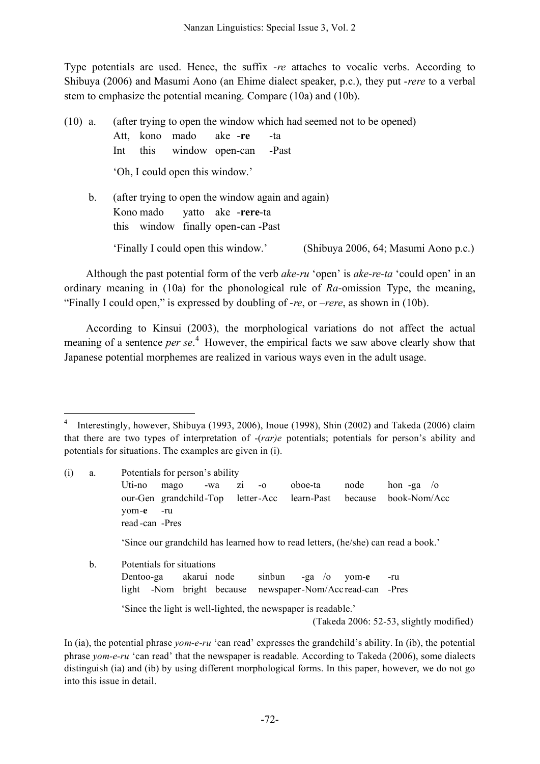Type potentials are used. Hence, the suffix -*re* attaches to vocalic verbs. According to Shibuya (2006) and Masumi Aono (an Ehime dialect speaker, p.c.), they put -*rere* to a verbal stem to emphasize the potential meaning. Compare (10a) and (10b).

(10) a. (after trying to open the window which had seemed not to be opened) Att, kono mado ake -**re** -ta Int this window open-can -Past 'Oh, I could open this window.' b. (after trying to open the window again and again) Kono mado yatto ake -**rere**-ta

this window finally open-can -Past

'Finally I could open this window.' (Shibuya 2006, 64; Masumi Aono p.c.)

Although the past potential form of the verb *ake-ru* 'open' is *ake-re-ta* 'could open' in an ordinary meaning in (10a) for the phonological rule of *Ra*-omission Type, the meaning, "Finally I could open," is expressed by doubling of -*re*, or –*rere*, as shown in (10b).

According to Kinsui (2003), the morphological variations do not affect the actual meaning of a sentence *per se*. <sup>4</sup> However, the empirical facts we saw above clearly show that Japanese potential morphemes are realized in various ways even in the adult usage.

 <sup>4</sup> Interestingly, however, Shibuya (1993, 2006), Inoue (1998), Shin (2002) and Takeda (2006) claim that there are two types of interpretation of -(*rar)e* potentials; potentials for person's ability and potentials for situations. The examples are given in (i).

| (i) | a.                                      |                                                                                                              | Potentials for person's ability                                                   |           |        |                                 |       |         |            |  |  |
|-----|-----------------------------------------|--------------------------------------------------------------------------------------------------------------|-----------------------------------------------------------------------------------|-----------|--------|---------------------------------|-------|---------|------------|--|--|
|     |                                         | Uti-no                                                                                                       | mago                                                                              | Z1<br>-wa | $-0$   | oboe-ta                         | node  | hon -ga | $\sqrt{0}$ |  |  |
|     |                                         | book-Nom/Acc<br>our-Gen grandchild-Top letter-Acc<br>learn-Past<br>because<br>yom-e<br>-ru<br>read-can -Pres |                                                                                   |           |        |                                 |       |         |            |  |  |
|     |                                         |                                                                                                              | 'Since our grandchild has learned how to read letters, (he/she) can read a book.' |           |        |                                 |       |         |            |  |  |
|     | b.                                      | Potentials for situations                                                                                    |                                                                                   |           |        |                                 |       |         |            |  |  |
|     |                                         | Dentoo-ga                                                                                                    | akarui node                                                                       |           | sinbun | $-\mathbf{g}a$ /o               | yom-e | -ru     |            |  |  |
|     |                                         | light                                                                                                        | -Nom bright because                                                               |           |        | newspaper-Nom/Accread-can -Pres |       |         |            |  |  |
|     |                                         | Since the light is well-lighted, the newspaper is readable.                                                  |                                                                                   |           |        |                                 |       |         |            |  |  |
|     | (Takeda 2006: 52-53, slightly modified) |                                                                                                              |                                                                                   |           |        |                                 |       |         |            |  |  |

In (ia), the potential phrase *yom-e-ru* 'can read' expresses the grandchild's ability. In (ib), the potential phrase *yom-e-ru* 'can read' that the newspaper is readable. According to Takeda (2006), some dialects distinguish (ia) and (ib) by using different morphological forms. In this paper, however, we do not go into this issue in detail.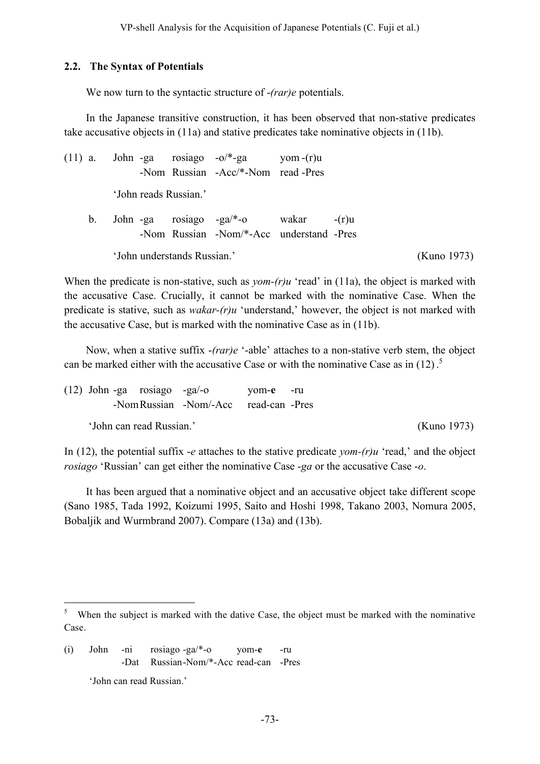#### **2.2. The Syntax of Potentials**

We now turn to the syntactic structure of -*(rar)e* potentials.

In the Japanese transitive construction, it has been observed that non-stative predicates take accusative objects in (11a) and stative predicates take nominative objects in (11b).

(11) a. John -ga rosiago  $-o$ <sup>\*</sup>-ga yom -(r)u -Nom Russian -Acc/\*-Nom read -Pres 'John reads Russian.' b. John -ga rosiago -ga/\*-o wakar -(r)u -Nom Russian -Nom/\*-Acc understand -Pres 'John understands Russian.' (Kuno 1973)

When the predicate is non-stative, such as *yom-(r)u* 'read' in (11a), the object is marked with the accusative Case. Crucially, it cannot be marked with the nominative Case. When the predicate is stative, such as *wakar-(r)u* 'understand,' however, the object is not marked with the accusative Case, but is marked with the nominative Case as in (11b).

Now, when a stative suffix -*(rar)e* '-able' attaches to a non-stative verb stem, the object can be marked either with the accusative Case or with the nominative Case as in  $(12)$ .<sup>5</sup>

|                          | $(12)$ John -ga rosiago -ga/-o |  |                                       | vom-e -ru |  |             |
|--------------------------|--------------------------------|--|---------------------------------------|-----------|--|-------------|
|                          |                                |  | -Nom Russian -Nom/-Acc read-can -Pres |           |  |             |
| 'John can read Russian.' |                                |  |                                       |           |  | (Kuno 1973) |

In (12), the potential suffix -*e* attaches to the stative predicate *yom-(r)u* 'read,' and the object *rosiago* 'Russian' can get either the nominative Case -*ga* or the accusative Case -*o*.

It has been argued that a nominative object and an accusative object take different scope (Sano 1985, Tada 1992, Koizumi 1995, Saito and Hoshi 1998, Takano 2003, Nomura 2005, Bobaljik and Wurmbrand 2007). Compare (13a) and (13b).

<sup>&</sup>lt;sup>5</sup> When the subject is marked with the dative Case, the object must be marked with the nominative Case.

<sup>(</sup>i) John -ni rosiago -ga/\*-o yom-**e** -ru -Dat Russian-Nom/\*-Acc read-can -Pres

<sup>&#</sup>x27;John can read Russian.'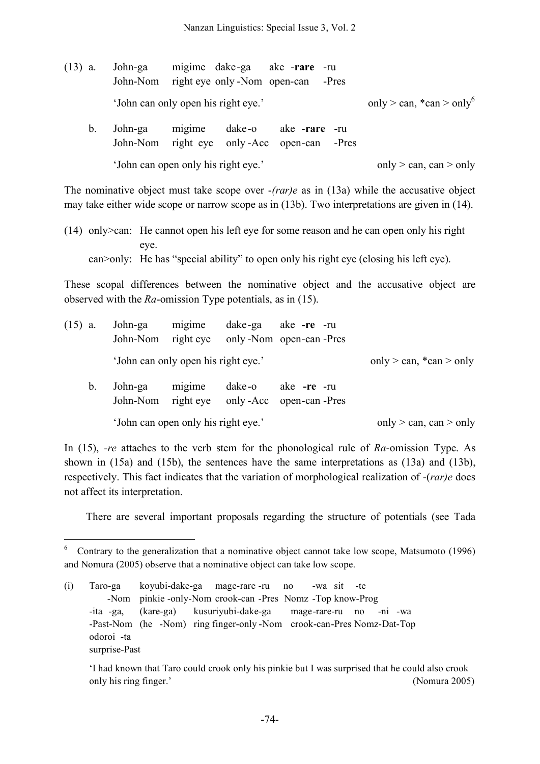| $(13)$ a. | John-ga<br>John-Nom                 |        | right eye only -Nom open-can | migime dake-ga ake -rare -ru                                 | -Pres |                                             |
|-----------|-------------------------------------|--------|------------------------------|--------------------------------------------------------------|-------|---------------------------------------------|
|           | 'John can only open his right eye.' |        |                              |                                                              |       | only $>$ can, $*$ can $>$ only <sup>6</sup> |
| b.        | John-ga                             | migime | dake-o                       | ake <b>-rare</b> -ru<br>John-Nom right eye only-Acc open-can | -Pres |                                             |
|           | 'John can open only his right eye.' |        |                              |                                                              |       | only $>$ can, can $>$ only                  |

The nominative object must take scope over -*(rar)e* as in (13a) while the accusative object may take either wide scope or narrow scope as in (13b). Two interpretations are given in (14).

(14) only>can: He cannot open his left eye for some reason and he can open only his right eye. can>only: He has "special ability" to open only his right eye (closing his left eye).

These scopal differences between the nominative object and the accusative object are observed with the *Ra*-omission Type potentials, as in (15).

| $(15)$ a. |    | John-ga                                              | migime                              | dake-ga ake-re-ru<br>John-Nom right eye only -Nom open-can -Pres |                                |
|-----------|----|------------------------------------------------------|-------------------------------------|------------------------------------------------------------------|--------------------------------|
|           |    | 'John can only open his right eye.'                  |                                     |                                                                  | only $>$ can, $*$ can $>$ only |
|           | b. | John-ga<br>John-Nom right eye only-Acc open-can-Pres | migime                              |                                                                  |                                |
|           |    |                                                      | 'John can open only his right eye.' |                                                                  | only $>$ can, can $>$ only     |

In (15), *-re* attaches to the verb stem for the phonological rule of *Ra*-omission Type. As shown in (15a) and (15b), the sentences have the same interpretations as (13a) and (13b), respectively. This fact indicates that the variation of morphological realization of -(*rar)e* does not affect its interpretation.

There are several important proposals regarding the structure of potentials (see Tada

 <sup>6</sup> Contrary to the generalization that <sup>a</sup> nominative object cannot take low scope, Matsumoto (1996) and Nomura (2005) observe that a nominative object can take low scope.

<sup>(</sup>i) Taro-ga koyubi-dake-ga mage-rare -ru no -wa sit -te -Nom pinkie -only-Nom crook-can -Pres Nomz -Top know-Prog -ita -ga, (kare-ga) kusuriyubi-dake-ga mage-rare-ru no -ni -wa -Past-Nom (he -Nom) ring finger-only -Nom crook-can-Pres Nomz-Dat-Top odoroi -ta surprise-Past

<sup>&#</sup>x27;I had known that Taro could crook only his pinkie but I was surprised that he could also crook only his ring finger.' (Nomura 2005)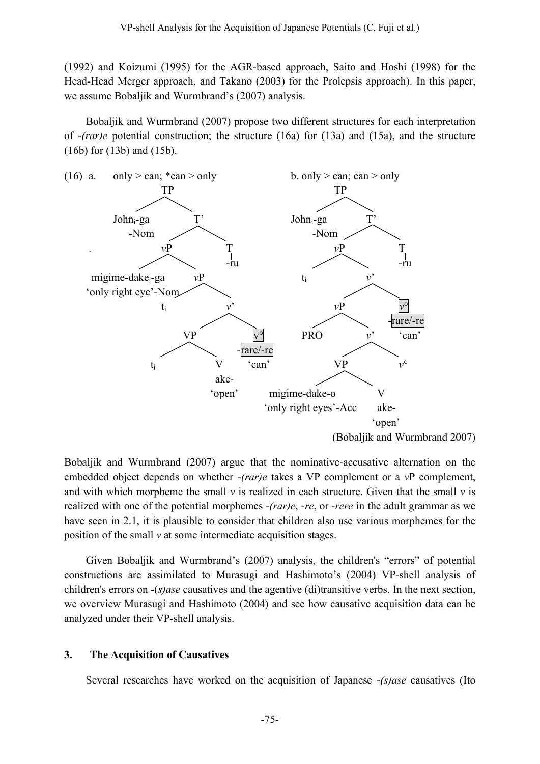(1992) and Koizumi (1995) for the AGR-based approach, Saito and Hoshi (1998) for the Head-Head Merger approach, and Takano (2003) for the Prolepsis approach). In this paper, we assume Bobaljik and Wurmbrand's (2007) analysis.

Bobaljik and Wurmbrand (2007) propose two different structures for each interpretation of -*(rar)e* potential construction; the structure (16a) for (13a) and (15a), and the structure (16b) for (13b) and (15b).



Bobaljik and Wurmbrand (2007) argue that the nominative-accusative alternation on the embedded object depends on whether -*(rar)e* takes a VP complement or a *v*P complement, and with which morpheme the small  $\nu$  is realized in each structure. Given that the small  $\nu$  is realized with one of the potential morphemes -*(rar)e*, -*re*, or -*rere* in the adult grammar as we have seen in 2.1, it is plausible to consider that children also use various morphemes for the position of the small *v* at some intermediate acquisition stages.

Given Bobaljik and Wurmbrand's (2007) analysis, the children's "errors" of potential constructions are assimilated to Murasugi and Hashimoto's (2004) VP-shell analysis of children's errors on -(*s)ase* causatives and the agentive (di)transitive verbs. In the next section, we overview Murasugi and Hashimoto (2004) and see how causative acquisition data can be analyzed under their VP-shell analysis.

#### **3. The Acquisition of Causatives**

Several researches have worked on the acquisition of Japanese -*(s)ase* causatives (Ito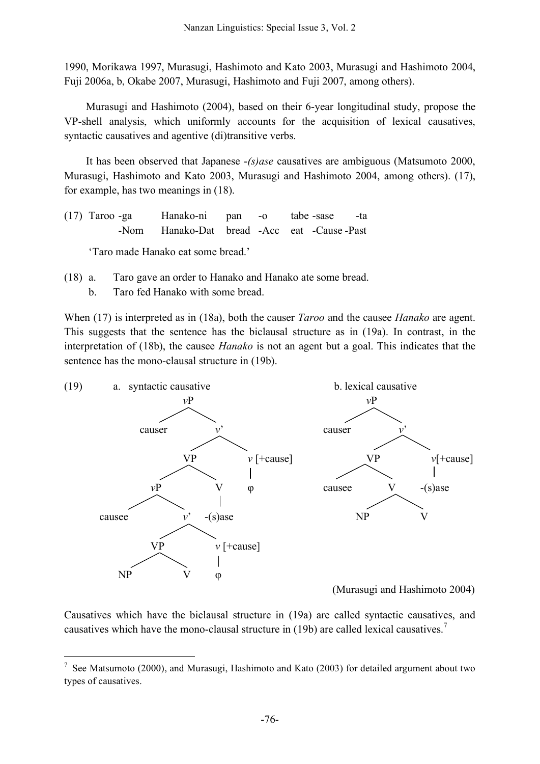1990, Morikawa 1997, Murasugi, Hashimoto and Kato 2003, Murasugi and Hashimoto 2004, Fuji 2006a, b, Okabe 2007, Murasugi, Hashimoto and Fuji 2007, among others).

Murasugi and Hashimoto (2004), based on their 6-year longitudinal study, propose the VP-shell analysis, which uniformly accounts for the acquisition of lexical causatives, syntactic causatives and agentive (di)transitive verbs.

It has been observed that Japanese -*(s)ase* causatives are ambiguous (Matsumoto 2000, Murasugi, Hashimoto and Kato 2003, Murasugi and Hashimoto 2004, among others). (17), for example, has two meanings in (18).

(17) Taroo -ga Hanako-ni pan -o tabe -sase -ta -Nom Hanako-Dat bread -Acc eat -Cause -Past

'Taro made Hanako eat some bread.'

- (18) a. Taro gave an order to Hanako and Hanako ate some bread.
	- b. Taro fed Hanako with some bread.

When (17) is interpreted as in (18a), both the causer *Taroo* and the causee *Hanako* are agent. This suggests that the sentence has the biclausal structure as in (19a). In contrast, in the interpretation of (18b), the causee *Hanako* is not an agent but a goal. This indicates that the sentence has the mono-clausal structure in (19b).



Causatives which have the biclausal structure in (19a) are called syntactic causatives, and causatives which have the mono-clausal structure in (19b) are called lexical causatives.<sup>7</sup>

<sup>&</sup>lt;sup>7</sup> See Matsumoto (2000), and Murasugi, Hashimoto and Kato (2003) for detailed argument about two types of causatives.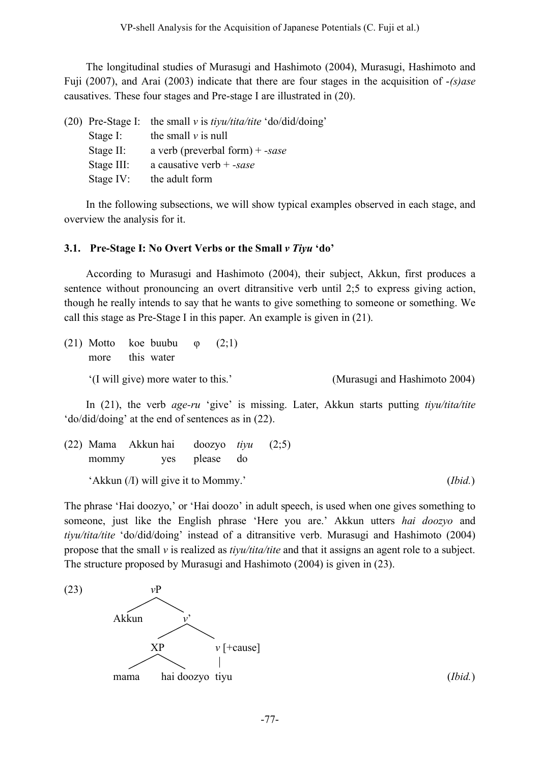The longitudinal studies of Murasugi and Hashimoto (2004), Murasugi, Hashimoto and Fuji (2007), and Arai (2003) indicate that there are four stages in the acquisition of -*(s)ase* causatives. These four stages and Pre-stage I are illustrated in (20).

|              | (20) Pre-Stage I: the small v is $t$ <i>iyu</i> /tita/tite 'do/did/doing' |
|--------------|---------------------------------------------------------------------------|
| Stage I:     | the small $\nu$ is null                                                   |
| Stage $II$ : | a verb (preverbal form) + -sase                                           |
| Stage III:   | a causative verb $+$ -sase                                                |
| Stage $IV:$  | the adult form                                                            |
|              |                                                                           |

In the following subsections, we will show typical examples observed in each stage, and overview the analysis for it.

# **3.1. Pre-Stage I: No Overt Verbs or the Small** *v Tiyu* **'do'**

According to Murasugi and Hashimoto (2004), their subject, Akkun, first produces a sentence without pronouncing an overt ditransitive verb until 2;5 to express giving action, though he really intends to say that he wants to give something to someone or something. We call this stage as Pre-Stage I in this paper. An example is given in (21).

(21) Motto koe buubu  $\varphi$  (2;1) more this water '(I will give) more water to this.' (Murasugi and Hashimoto 2004)

In (21), the verb *age-ru* 'give' is missing. Later, Akkun starts putting *tiyu/tita/tite* 'do/did/doing' at the end of sentences as in (22).

(22) Mama Akkun hai doozyo *tiyu* (2;5) mommy yes please do 'Akkun (/I) will give it to Mommy.' (*Ibid.*)

The phrase 'Hai doozyo,' or 'Hai doozo' in adult speech, is used when one gives something to someone, just like the English phrase 'Here you are.' Akkun utters *hai doozyo* and *tiyu/tita/tite* 'do/did/doing' instead of a ditransitive verb. Murasugi and Hashimoto (2004) propose that the small *v* is realized as *tiyu/tita/tite* and that it assigns an agent role to a subject. The structure proposed by Murasugi and Hashimoto (2004) is given in (23).

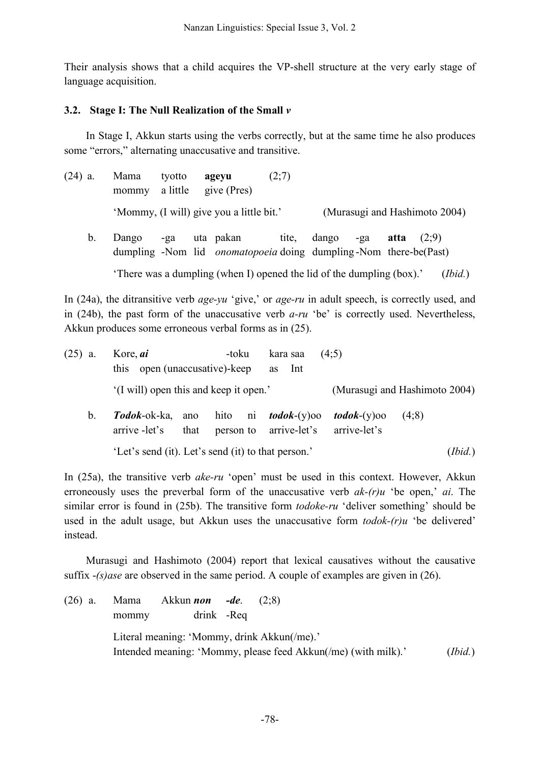Their analysis shows that a child acquires the VP-shell structure at the very early stage of language acquisition.

## **3.2. Stage I: The Null Realization of the Small** *v*

In Stage I, Akkun starts using the verbs correctly, but at the same time he also produces some "errors," alternating unaccusative and transitive.

| $(24)$ a.   | Mama  | tvotto | agevu<br>mommy a little give (Pres)      | (2;7) |       |     |      |                               |  |
|-------------|-------|--------|------------------------------------------|-------|-------|-----|------|-------------------------------|--|
|             |       |        | 'Mommy, (I will) give you a little bit.' |       |       |     |      | (Murasugi and Hashimoto 2004) |  |
| $b_{\cdot}$ | Dango | -ga    | uta pakan                                | tite, | dango | -ga | atta | (2:9)                         |  |

dumpling -Nom lid *onomatopoeia* doing dumpling -Nom there-be(Past)

'There was a dumpling (when I) opened the lid of the dumpling (box).' (*Ibid.*)

In (24a), the ditransitive verb *age-yu* 'give,' or *age-ru* in adult speech, is correctly used, and in (24b), the past form of the unaccusative verb *a-ru* 'be' is correctly used. Nevertheless, Akkun produces some erroneous verbal forms as in (25).

| $(25)$ a. |    | Kore, <i>ai</i>                                    | -toku | kara saa                                              | (4:5)                                   |                               |
|-----------|----|----------------------------------------------------|-------|-------------------------------------------------------|-----------------------------------------|-------------------------------|
|           |    | open (unaccusative)-keep<br>this                   |       | Int<br>as                                             |                                         |                               |
|           |    | '(I will) open this and keep it open.'             |       |                                                       |                                         | (Murasugi and Hashimoto 2004) |
|           | b. | <i>Todok</i> -ok-ka, ano<br>arrive -let's<br>that  |       | hito ni <i>todok</i> -(y)oo<br>person to arrive-let's | <i>todok</i> - $(y)$ 00<br>arrive-let's | (4:8)                         |
|           |    | 'Let's send (it). Let's send (it) to that person.' |       |                                                       |                                         | (Ibid.)                       |

In (25a), the transitive verb *ake-ru* 'open' must be used in this context. However, Akkun erroneously uses the preverbal form of the unaccusative verb *ak-(r)u* 'be open,' *ai*. The similar error is found in (25b). The transitive form *todoke-ru* 'deliver something' should be used in the adult usage, but Akkun uses the unaccusative form *todok-(r)u* 'be delivered' instead.

Murasugi and Hashimoto (2004) report that lexical causatives without the causative suffix -*(s)ase* are observed in the same period. A couple of examples are given in (26).

(26) a. Mama Akkun *non -de*. (2;8) mommy drink -Req Literal meaning: 'Mommy, drink Akkun(/me).' Intended meaning: 'Mommy, please feed Akkun(/me) (with milk).' (*Ibid.*)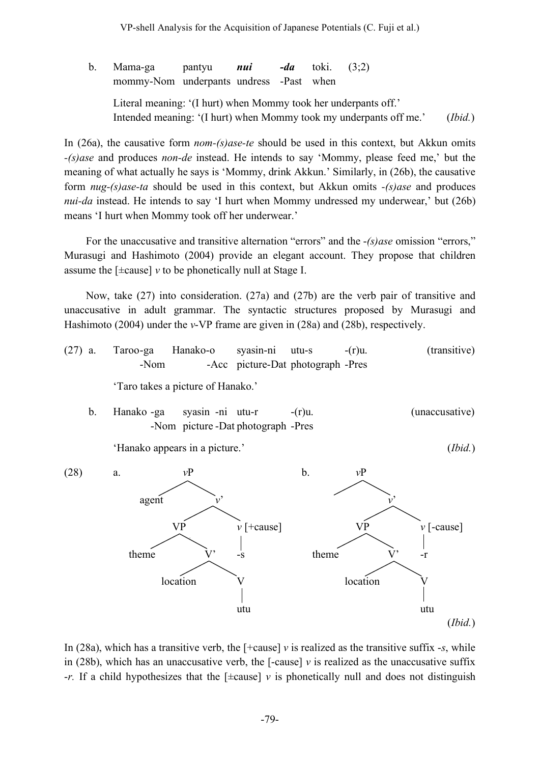VP-shell Analysis for the Acquisition of Japanese Potentials (C. Fuji et al.)

b. Mama-ga pantyu *nui -da* toki. (3;2) mommy-Nom underpants undress -Past when Literal meaning: '(I hurt) when Mommy took her underpants off.' Intended meaning: '(I hurt) when Mommy took my underpants off me.' (*Ibid.*)

In (26a), the causative form *nom-(s)ase-te* should be used in this context, but Akkun omits *-(s)ase* and produces *non-de* instead. He intends to say 'Mommy, please feed me,' but the meaning of what actually he says is 'Mommy, drink Akkun.' Similarly, in (26b), the causative form *nug-(s)ase-ta* should be used in this context, but Akkun omits *-(s)ase* and produces *nui-da* instead. He intends to say 'I hurt when Mommy undressed my underwear,' but (26b) means 'I hurt when Mommy took off her underwear.'

For the unaccusative and transitive alternation "errors" and the -*(s)ase* omission "errors," Murasugi and Hashimoto (2004) provide an elegant account. They propose that children assume the  $[\pm \text{cause}]$  *v* to be phonetically null at Stage I.

Now, take (27) into consideration. (27a) and (27b) are the verb pair of transitive and unaccusative in adult grammar. The syntactic structures proposed by Murasugi and Hashimoto (2004) under the *v*-VP frame are given in (28a) and (28b), respectively.

- (27) a. Taroo-ga Hanako-o syasin-ni utu-s -(r)u. (transitive) -Nom -Acc picture-Dat photograph -Pres 'Taro takes a picture of Hanako.'
	- b. Hanako -ga syasin -ni utu-r -(r)u. (unaccusative) -Nom picture -Dat photograph -Pres

'Hanako appears in a picture.' (*Ibid.*)



In (28a), which has a transitive verb, the [+cause] *v* is realized as the transitive suffix -*s*, while in (28b), which has an unaccusative verb, the  $\lceil$ -cause $\rceil v$  is realized as the unaccusative suffix -*r.* If a child hypothesizes that the [±cause] *v* is phonetically null and does not distinguish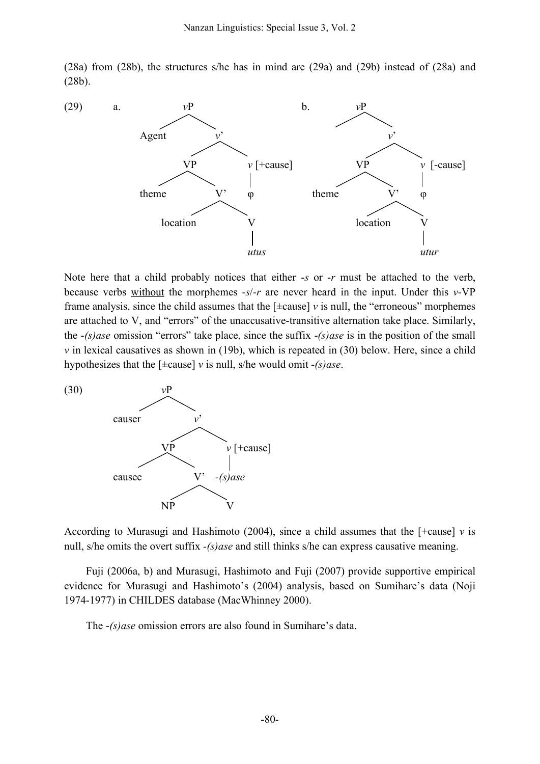(28a) from (28b), the structures s/he has in mind are (29a) and (29b) instead of (28a) and (28b).



Note here that a child probably notices that either -*s* or -*r* must be attached to the verb, because verbs without the morphemes -*s*/-*r* are never heard in the input. Under this *v*-VP frame analysis, since the child assumes that the  $[\pm \text{cause}]$  *v* is null, the "erroneous" morphemes are attached to V, and "errors" of the unaccusative-transitive alternation take place. Similarly, the -*(s)ase* omission "errors" take place, since the suffix -*(s)ase* is in the position of the small *v* in lexical causatives as shown in (19b), which is repeated in (30) below. Here, since a child hypothesizes that the [±cause] *v* is null, s/he would omit -*(s)ase*.



According to Murasugi and Hashimoto (2004), since a child assumes that the  $[+cause]$  *v* is null, s/he omits the overt suffix *-(s)ase* and still thinks s/he can express causative meaning.

Fuji (2006a, b) and Murasugi, Hashimoto and Fuji (2007) provide supportive empirical evidence for Murasugi and Hashimoto's (2004) analysis, based on Sumihare's data (Noji 1974-1977) in CHILDES database (MacWhinney 2000).

The -*(s)ase* omission errors are also found in Sumihare's data.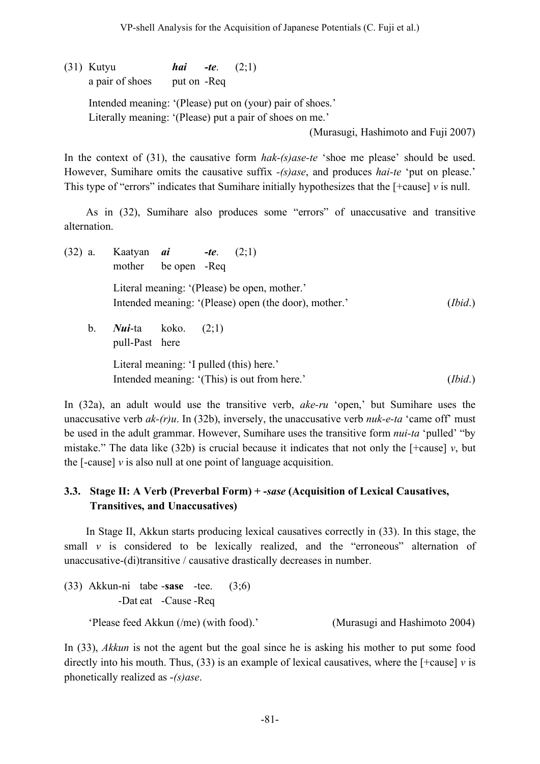(31) Kutyu *hai -te*. (2;1) a pair of shoes put on -Req Intended meaning: '(Please) put on (your) pair of shoes.' Literally meaning: '(Please) put a pair of shoes on me.' (Murasugi, Hashimoto and Fuji 2007)

In the context of (31), the causative form *hak-(s)ase-te* 'shoe me please' should be used. However, Sumihare omits the causative suffix *-(s)ase*, and produces *hai-te* 'put on please.' This type of "errors" indicates that Sumihare initially hypothesizes that the [+cause] *v* is null.

As in (32), Sumihare also produces some "errors" of unaccusative and transitive alternation.

(32) a. Kaatyan *ai -te*. (2;1) mother be open -Req Literal meaning: '(Please) be open, mother.' Intended meaning: '(Please) open (the door), mother.' (*Ibid*.) b. *Nui*-ta koko. (2;1) pull-Past here Literal meaning: 'I pulled (this) here.' Intended meaning: '(This) is out from here.' (*Ibid*.)

In (32a), an adult would use the transitive verb, *ake-ru* 'open,' but Sumihare uses the unaccusative verb *ak-(r)u*. In (32b), inversely, the unaccusative verb *nuk-e-ta* 'came off' must be used in the adult grammar. However, Sumihare uses the transitive form *nui-ta* 'pulled' "by mistake." The data like (32b) is crucial because it indicates that not only the  $[+c_0, b_0, b_0, b_0, c_0, d_0]$ the [-cause] *v* is also null at one point of language acquisition.

# **3.3. Stage II: A Verb (Preverbal Form) + -***sase* **(Acquisition of Lexical Causatives, Transitives, and Unaccusatives)**

In Stage II, Akkun starts producing lexical causatives correctly in (33). In this stage, the small  $\nu$  is considered to be lexically realized, and the "erroneous" alternation of unaccusative-(di)transitive / causative drastically decreases in number.

(33) Akkun-ni tabe -**sase** -tee. (3;6) -Dat eat -Cause -Req 'Please feed Akkun (/me) (with food).' (Murasugi and Hashimoto 2004)

In (33), *Akkun* is not the agent but the goal since he is asking his mother to put some food directly into his mouth. Thus,  $(33)$  is an example of lexical causatives, where the  $[+cause]$  *v* is phonetically realized as -*(s)ase*.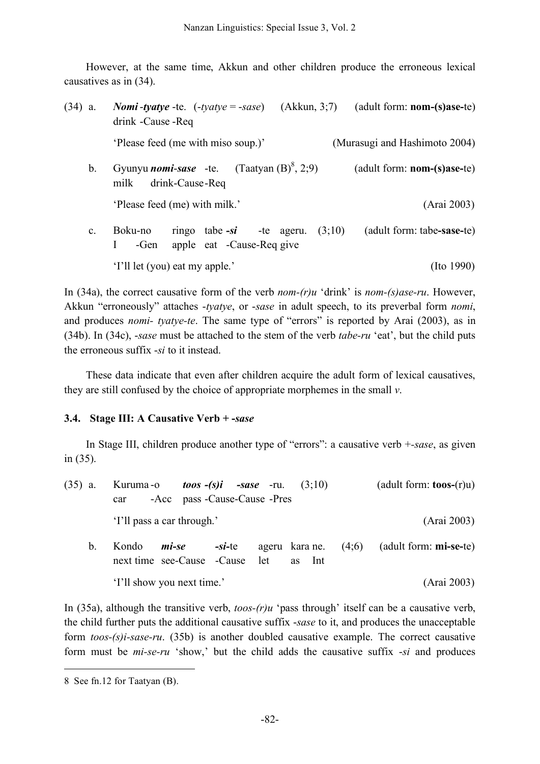However, at the same time, Akkun and other children produce the erroneous lexical causatives as in (34).

| $(34)$ a.      | <b>Nomi-tyatye</b> -te. $(-t \text{value} = -s \text{ase})$ $(Akkun, 3,7)$ $(adult form: nom-(s)ase-te)$<br>drink - Cause - Req |        |                               |  |  |  |
|----------------|---------------------------------------------------------------------------------------------------------------------------------|--------|-------------------------------|--|--|--|
|                | 'Please feed (me with miso soup.)'                                                                                              |        | (Murasugi and Hashimoto 2004) |  |  |  |
| $b_{\cdot}$    | Gyunyu <i>nomi-sase</i> -te. $(Taatyan (B)^8, 2;9)$<br>$($ adult form: $\mathbf{nom-(s)}$ ase-te $)$<br>drink-Cause-Req<br>milk |        |                               |  |  |  |
|                | 'Please feed (me) with milk.'                                                                                                   |        | (Arai 2003)                   |  |  |  |
| $\mathbf{c}$ . | Boku-no<br>ringo tabe $-si$ -te ageru.<br>apple eat -Cause-Req give<br>$\mathbf{I}$<br>-Gen                                     | (3;10) | (adult form: tabe-sase-te)    |  |  |  |
|                | 'I'll let (you) eat my apple.'                                                                                                  |        | $($ Ito 1990 $)$              |  |  |  |

In (34a), the correct causative form of the verb *nom-(r)u* 'drink' is *nom-(s)ase-ru*. However, Akkun "erroneously" attaches -*tyatye*, or -*sase* in adult speech, to its preverbal form *nomi*, and produces *nomi- tyatye-te*. The same type of "errors" is reported by Arai (2003), as in (34b). In (34c), -*sase* must be attached to the stem of the verb *tabe-ru* 'eat', but the child puts the erroneous suffix -*si* to it instead.

These data indicate that even after children acquire the adult form of lexical causatives, they are still confused by the choice of appropriate morphemes in the small *v*.

# **3.4. Stage III: A Causative Verb + -***sase*

In Stage III, children produce another type of "errors": a causative verb +*-sase*, as given in (35).

| $(35)$ a. |       |                                         | Kuruma-o <i>toos</i> -(s)i -sase -ru. $(3;10)$ |                |  |        |  | (adult form: $\mathbf{toos}-(r)u$ ) |  |
|-----------|-------|-----------------------------------------|------------------------------------------------|----------------|--|--------|--|-------------------------------------|--|
|           | car   | -Acc pass -Cause-Cause -Pres            |                                                |                |  |        |  |                                     |  |
|           |       | 'I'll pass a car through.'              |                                                |                |  |        |  | (Arai 2003)                         |  |
| b.        | Kondo | mi-se<br>next time see-Cause -Cause let | -si-te                                         | ageru kara ne. |  | as Int |  | $(4,6)$ (adult form: mi-se-te)      |  |
|           |       | 'I'll show you next time.'              |                                                |                |  |        |  | (Arai 2003)                         |  |

In (35a), although the transitive verb, *toos-(r)u* 'pass through' itself can be a causative verb, the child further puts the additional causative suffix -*sase* to it, and produces the unacceptable form *toos-(s)i-sase-ru*. (35b) is another doubled causative example. The correct causative form must be *mi-se-ru* 'show,' but the child adds the causative suffix -*si* and produces

<u>.</u>

<sup>8</sup> See fn.12 for Taatyan (B).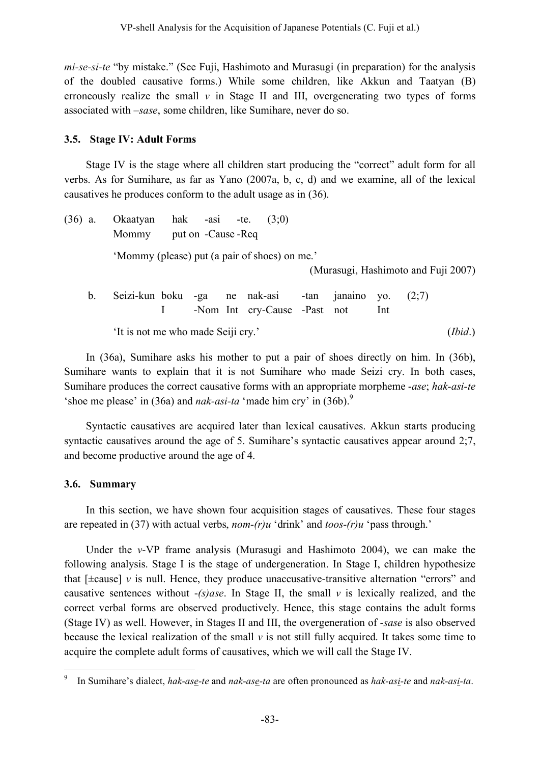*mi-se-si-te* "by mistake." (See Fuji, Hashimoto and Murasugi (in preparation) for the analysis of the doubled causative forms.) While some children, like Akkun and Taatyan (B) erroneously realize the small  $\nu$  in Stage II and III, overgenerating two types of forms associated with –*sase*, some children, like Sumihare, never do so.

# **3.5. Stage IV: Adult Forms**

Stage IV is the stage where all children start producing the "correct" adult form for all verbs. As for Sumihare, as far as Yano (2007a, b, c, d) and we examine, all of the lexical causatives he produces conform to the adult usage as in (36).

| $(36)$ a. | Okaatyan hak -asi -te.<br>Mommy | put on -Cause -Req |  | (3:0)                                                         |                          |     |                                     |
|-----------|---------------------------------|--------------------|--|---------------------------------------------------------------|--------------------------|-----|-------------------------------------|
|           |                                 |                    |  | 'Mommy (please) put (a pair of shoes) on me.'                 |                          |     | (Murasugi, Hashimoto and Fuji 2007) |
| $b_{-}$   |                                 |                    |  | Seizi-kun boku -ga ne nak-asi<br>-Nom Int cry-Cause -Past not | -tan janaino yo. $(2,7)$ | Int |                                     |

'It is not me who made Seiji cry.' (*Ibid*.)

In (36a), Sumihare asks his mother to put a pair of shoes directly on him. In (36b), Sumihare wants to explain that it is not Sumihare who made Seizi cry. In both cases, Sumihare produces the correct causative forms with an appropriate morpheme -*ase*; *hak-asi-te* 'shoe me please' in (36a) and *nak-asi-ta* 'made him cry' in (36b).<sup>9</sup>

Syntactic causatives are acquired later than lexical causatives. Akkun starts producing syntactic causatives around the age of 5. Sumihare's syntactic causatives appear around 2;7, and become productive around the age of 4.

# **3.6. Summary**

In this section, we have shown four acquisition stages of causatives. These four stages are repeated in (37) with actual verbs, *nom-(r)u* 'drink' and *toos-(r)u* 'pass through.'

Under the *v*-VP frame analysis (Murasugi and Hashimoto 2004), we can make the following analysis. Stage I is the stage of undergeneration. In Stage I, children hypothesize that  $[\pm \text{cause}]$  *v* is null. Hence, they produce unaccusative-transitive alternation "errors" and causative sentences without -*(s)ase*. In Stage II, the small *v* is lexically realized, and the correct verbal forms are observed productively. Hence, this stage contains the adult forms (Stage IV) as well. However, in Stages II and III, the overgeneration of -*sase* is also observed because the lexical realization of the small  $\nu$  is not still fully acquired. It takes some time to acquire the complete adult forms of causatives, which we will call the Stage IV.

 <sup>9</sup> In Sumihare's dialect, *hak-ase-te* and *nak-ase-ta* are often pronounced as *hak-asi-te* and *nak-asi-ta*.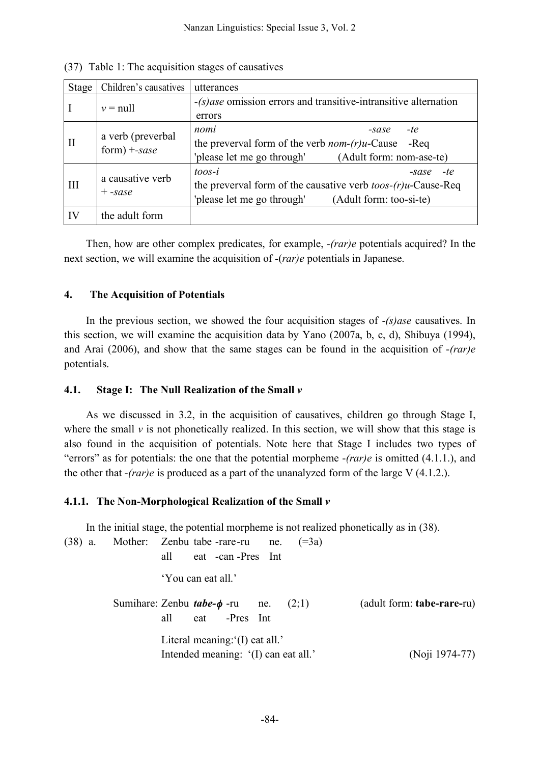| <b>Stage</b> | Children's causatives                        | utterances                                                                                                                                              |
|--------------|----------------------------------------------|---------------------------------------------------------------------------------------------------------------------------------------------------------|
|              | $v = null$                                   | $-(s)$ ase omission errors and transitive-intransitive alternation<br>errors                                                                            |
| $\rm II$     | a verb (preverbal<br>$form) + \textit{save}$ | nomi<br>-te<br>$-sase$<br>the preverval form of the verb <i>nom-(r)u</i> -Cause<br>-Reg<br>'please let me go through'<br>(Adult form: nom-ase-te)       |
| Ш            | a causative verb<br>$+$ -sase                | $to$ os-i<br>-te<br>$-sase$<br>the preverval form of the causative verb $toos-(r)u$ -Cause-Req<br>'please let me go through'<br>(Adult form: too-si-te) |
| IV           | the adult form                               |                                                                                                                                                         |

(37) Table 1: The acquisition stages of causatives

Then, how are other complex predicates, for example, *-(rar)e* potentials acquired? In the next section, we will examine the acquisition of -(*rar)e* potentials in Japanese.

### **4. The Acquisition of Potentials**

In the previous section, we showed the four acquisition stages of -*(s)ase* causatives. In this section, we will examine the acquisition data by Yano (2007a, b, c, d), Shibuya (1994), and Arai (2006), and show that the same stages can be found in the acquisition of -*(rar)e* potentials.

#### **4.1. Stage I: The Null Realization of the Small** *v*

As we discussed in 3.2, in the acquisition of causatives, children go through Stage I, where the small  $\nu$  is not phonetically realized. In this section, we will show that this stage is also found in the acquisition of potentials. Note here that Stage I includes two types of "errors" as for potentials: the one that the potential morpheme -*(rar)e* is omitted (4.1.1.), and the other that -*(rar)e* is produced as a part of the unanalyzed form of the large V (4.1.2.).

# **4.1.1. The Non-Morphological Realization of the Small** *v*

In the initial stage, the potential morpheme is not realized phonetically as in (38).

| $(38)$ a. | Mother: Zenbu tabe -rare-ru ne.<br>$( = 3a)$<br>eat - can - Pres Int<br>all            |                            |
|-----------|----------------------------------------------------------------------------------------|----------------------------|
|           | 'You can eat all.'                                                                     |                            |
|           | Sumihare: Zenbu <i>tabe-<math>\phi</math></i> -ru ne.<br>(2:1)<br>eat -Pres Int<br>all | (adult form: tabe-rare-ru) |
|           | Literal meaning: $(I)$ eat all.'<br>Intended meaning: '(I) can eat all.'               | (Noji 1974-77)             |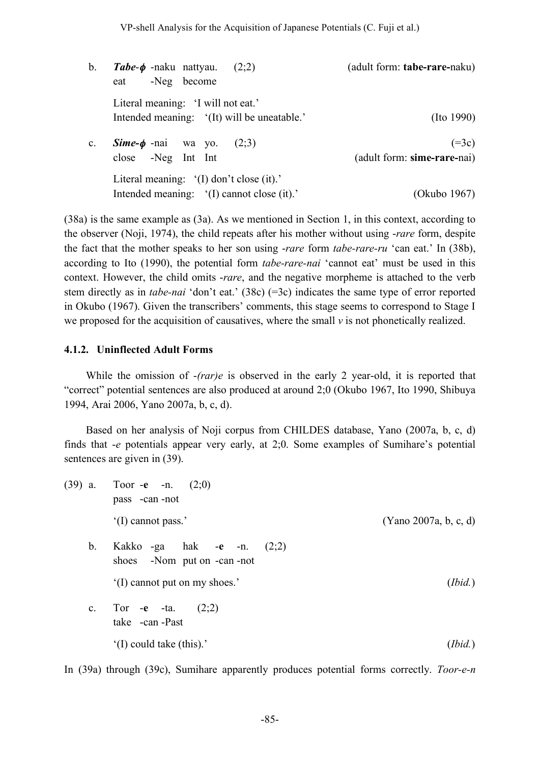b. *Tabe*-φ -naku nattyau. (2;2) (adult form: **tabe-rare-**naku) eat -Neg become Literal meaning: 'I will not eat.' Intended meaning: '(It) will be uneatable.' (Ito 1990) c. **Sime-** $\phi$  -nai wa yo. (2;3) (=3c) close -Neg Int Int (adult form: **sime-rare-**nai) Literal meaning: '(I) don't close (it).' Intended meaning: '(I) cannot close (it).' (Okubo 1967)

(38a) is the same example as (3a). As we mentioned in Section 1, in this context, according to the observer (Noji, 1974), the child repeats after his mother without using -*rare* form, despite the fact that the mother speaks to her son using -*rare* form *tabe-rare-ru* 'can eat.' In (38b), according to Ito (1990), the potential form *tabe-rare-nai* 'cannot eat' must be used in this context. However, the child omits -*rare*, and the negative morpheme is attached to the verb stem directly as in *tabe-nai* 'don't eat.' (38c) (=3c) indicates the same type of error reported in Okubo (1967). Given the transcribers' comments, this stage seems to correspond to Stage I we proposed for the acquisition of causatives, where the small *v* is not phonetically realized.

#### **4.1.2. Uninflected Adult Forms**

While the omission of -*(rar)e* is observed in the early 2 year-old, it is reported that "correct" potential sentences are also produced at around 2;0 (Okubo 1967, Ito 1990, Shibuya 1994, Arai 2006, Yano 2007a, b, c, d).

Based on her analysis of Noji corpus from CHILDES database, Yano (2007a, b, c, d) finds that -*e* potentials appear very early, at 2;0. Some examples of Sumihare's potential sentences are given in (39).

| $(39)$ a.      | Toor -e -n. $(2,0)$<br>pass -can -not                       |                       |
|----------------|-------------------------------------------------------------|-----------------------|
|                | '(I) cannot pass.'                                          | (Yano 2007a, b, c, d) |
| $\mathbf b$ .  | Kakko -ga hak -e -n. $(2,2)$<br>shoes -Nom put on -can -not |                       |
|                | '(I) cannot put on my shoes.'                               | (Ibid.)               |
| $\mathbf{c}$ . | Tor $-e$ $-ta$ .<br>(2;2)<br>take - can - Past              |                       |
|                | '(I) could take (this).'                                    | (Ibid.)               |

In (39a) through (39c), Sumihare apparently produces potential forms correctly. *Toor-e-n*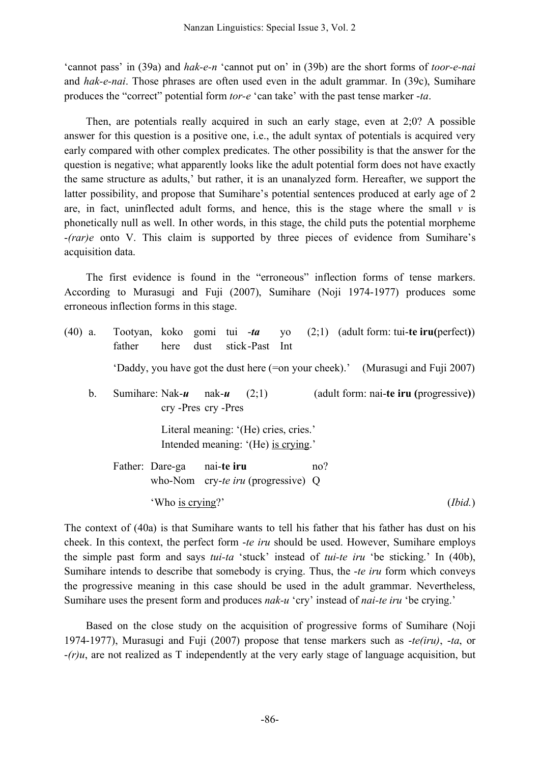'cannot pass' in (39a) and *hak-e-n* 'cannot put on' in (39b) are the short forms of *toor-e-nai* and *hak-e-nai*. Those phrases are often used even in the adult grammar. In (39c), Sumihare produces the "correct" potential form *tor-e* 'can take' with the past tense marker -*ta*.

Then, are potentials really acquired in such an early stage, even at 2;0? A possible answer for this question is a positive one, i.e., the adult syntax of potentials is acquired very early compared with other complex predicates. The other possibility is that the answer for the question is negative; what apparently looks like the adult potential form does not have exactly the same structure as adults,' but rather, it is an unanalyzed form. Hereafter, we support the latter possibility, and propose that Sumihare's potential sentences produced at early age of 2 are, in fact, uninflected adult forms, and hence, this is the stage where the small  $v$  is phonetically null as well. In other words, in this stage, the child puts the potential morpheme -*(rar)e* onto V. This claim is supported by three pieces of evidence from Sumihare's acquisition data.

The first evidence is found in the "erroneous" inflection forms of tense markers. According to Murasugi and Fuji (2007), Sumihare (Noji 1974-1977) produces some erroneous inflection forms in this stage.

| $(40)$ a. |             | father                                                                                                                  | here dust stick-Past Int                                |            |                                                                              |  |  |     | Tootyan, koko gomi tui -ta yo $(2,1)$ (adult form: tui-te iru(perfect))        |         |
|-----------|-------------|-------------------------------------------------------------------------------------------------------------------------|---------------------------------------------------------|------------|------------------------------------------------------------------------------|--|--|-----|--------------------------------------------------------------------------------|---------|
|           |             |                                                                                                                         |                                                         |            |                                                                              |  |  |     | 'Daddy, you have got the dust here (=on your cheek).' (Murasugi and Fuji 2007) |         |
|           | $b_{\cdot}$ | Sumihare: Nak- $\mathbf{u}$ nak- $\mathbf{u}$<br>(adult form: nai-te iru (progressive))<br>(2;1)<br>cry -Pres cry -Pres |                                                         |            |                                                                              |  |  |     |                                                                                |         |
|           |             |                                                                                                                         |                                                         |            | Literal meaning: '(He) cries, cries.'<br>Intended meaning: '(He) is crying.' |  |  |     |                                                                                |         |
|           |             |                                                                                                                         | Father: Dare-ga<br>who-Nom cry-te iru (progressive) $Q$ | nai-te iru |                                                                              |  |  | no? |                                                                                |         |
|           |             |                                                                                                                         | 'Who is crying?'                                        |            |                                                                              |  |  |     |                                                                                | (Ibid.) |

The context of (40a) is that Sumihare wants to tell his father that his father has dust on his cheek. In this context, the perfect form -*te iru* should be used. However, Sumihare employs the simple past form and says *tui-ta* 'stuck' instead of *tui-te iru* 'be sticking.' In (40b), Sumihare intends to describe that somebody is crying. Thus, the -*te iru* form which conveys the progressive meaning in this case should be used in the adult grammar. Nevertheless, Sumihare uses the present form and produces *nak-u* 'cry' instead of *nai-te iru* 'be crying.'

Based on the close study on the acquisition of progressive forms of Sumihare (Noji 1974-1977), Murasugi and Fuji (2007) propose that tense markers such as -*te(iru)*, -*ta*, or -*(r)u*, are not realized as T independently at the very early stage of language acquisition, but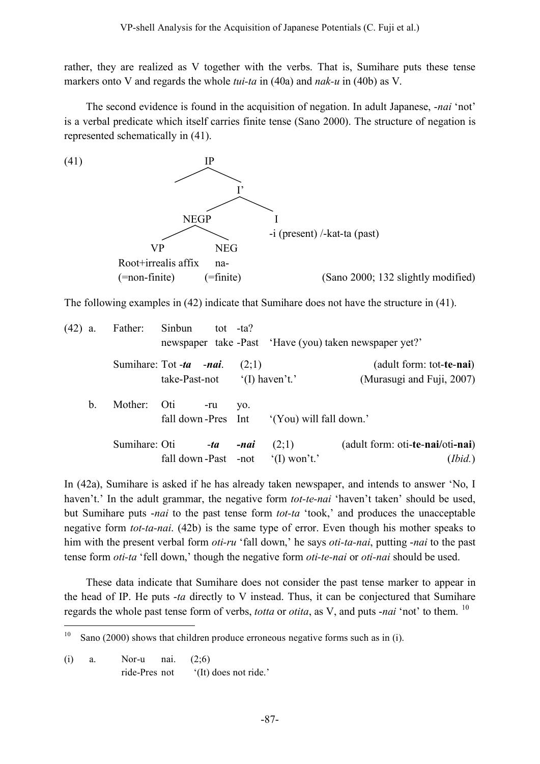rather, they are realized as V together with the verbs. That is, Sumihare puts these tense markers onto V and regards the whole *tui-ta* in (40a) and *nak-u* in (40b) as V.

The second evidence is found in the acquisition of negation. In adult Japanese, -*nai* 'not' is a verbal predicate which itself carries finite tense (Sano 2000). The structure of negation is represented schematically in (41).



The following examples in (42) indicate that Sumihare does not have the structure in (41).

| $(42)$ a. |               | Father:       | Sinbun                                   | tot $-ta$ ? |       |                                 | newspaper take -Past 'Have (you) taken newspaper yet?'         |
|-----------|---------------|---------------|------------------------------------------|-------------|-------|---------------------------------|----------------------------------------------------------------|
|           |               |               | Sumihare: Tot -ta -nai.<br>take-Past-not |             | (2;1) | $^{\circ}$ (I) haven't.'        | (adult form: tot- <b>te-nai</b> )<br>(Murasugi and Fuji, 2007) |
|           | Mother:<br>b. |               | Oti<br>fall down-Pres Int                | -ru         | VO.   | '(You) will fall down.'         |                                                                |
|           |               | Sumihare: Oti | fall down-Past -not                      | -ta         | -nai  | (2;1)<br>$^{\circ}$ (I) won't.' | (adult form: oti- <b>te-nai</b> /oti <b>-nai</b> )<br>(Ibid.)  |

In (42a), Sumihare is asked if he has already taken newspaper, and intends to answer 'No, I haven't.' In the adult grammar, the negative form *tot-te-nai* 'haven't taken' should be used, but Sumihare puts -*nai* to the past tense form *tot-ta* 'took,' and produces the unacceptable negative form *tot-ta-nai*. (42b) is the same type of error. Even though his mother speaks to him with the present verbal form *oti-ru* 'fall down,' he says *oti-ta-nai*, putting -*nai* to the past tense form *oti-ta* 'fell down,' though the negative form *oti-te-nai* or *oti-nai* should be used.

These data indicate that Sumihare does not consider the past tense marker to appear in the head of IP. He puts -*ta* directly to V instead. Thus, it can be conjectured that Sumihare regards the whole past tense form of verbs, *totta* or *otita*, as V, and puts -*nai* 'not' to them. <sup>10</sup>

<sup>&</sup>lt;sup>10</sup> Sano (2000) shows that children produce erroneous negative forms such as in (i).

<sup>(</sup>i) a. Nor-u nai. (2;6) ride-Pres not '(It) does not ride.'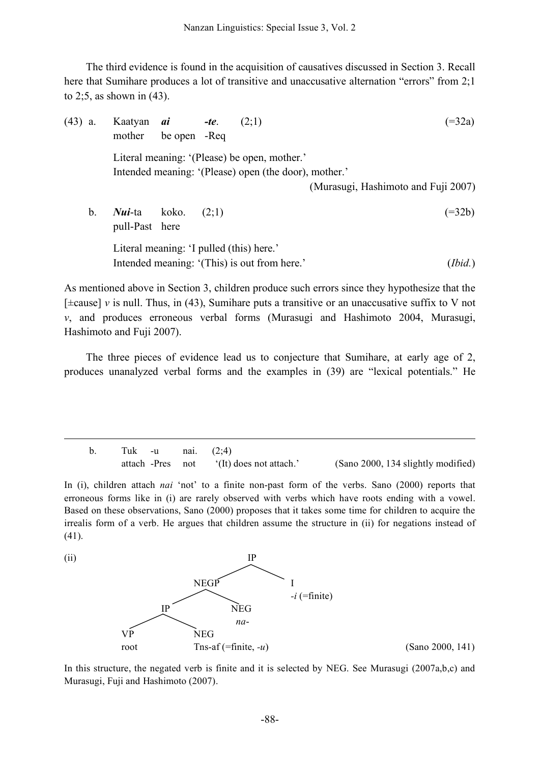The third evidence is found in the acquisition of causatives discussed in Section 3. Recall here that Sumihare produces a lot of transitive and unaccusative alternation "errors" from 2;1 to 2;5, as shown in (43).

(43) a. Kaatyan *ai -te*. (2;1) (=32a) mother be open -Req Literal meaning: '(Please) be open, mother.' Intended meaning: '(Please) open (the door), mother.' (Murasugi, Hashimoto and Fuji 2007) b. *Nui*-ta koko. (2;1) (=32b) pull-Past here Literal meaning: 'I pulled (this) here.' Intended meaning: '(This) is out from here.' (*Ibid.*)

As mentioned above in Section 3, children produce such errors since they hypothesize that the [±cause] *v* is null. Thus, in (43), Sumihare puts a transitive or an unaccusative suffix to V not *v*, and produces erroneous verbal forms (Murasugi and Hashimoto 2004, Murasugi, Hashimoto and Fuji 2007).

The three pieces of evidence lead us to conjecture that Sumihare, at early age of 2, produces unanalyzed verbal forms and the examples in (39) are "lexical potentials." He

b. Tuk -u nai. (2;4) attach -Pres not '(It) does not attach.' (Sano 2000, 134 slightly modified)

In (i), children attach *nai* 'not' to a finite non-past form of the verbs. Sano (2000) reports that erroneous forms like in (i) are rarely observed with verbs which have roots ending with a vowel. Based on these observations, Sano (2000) proposes that it takes some time for children to acquire the irrealis form of a verb. He argues that children assume the structure in (ii) for negations instead of (41).

 $\overline{a}$ 



In this structure, the negated verb is finite and it is selected by NEG. See Murasugi (2007a,b,c) and Murasugi, Fuji and Hashimoto (2007).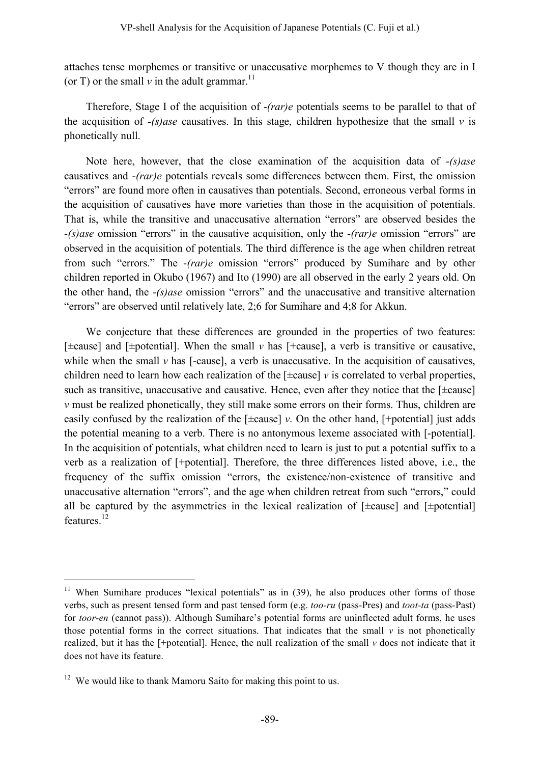attaches tense morphemes or transitive or unaccusative morphemes to V though they are in I (or T) or the small  $\nu$  in the adult grammar.<sup>11</sup>

Therefore, Stage I of the acquisition of -*(rar)e* potentials seems to be parallel to that of the acquisition of  $-(s)$ *ase* causatives. In this stage, children hypothesize that the small *v* is phonetically null.

Note here, however, that the close examination of the acquisition data of -*(s)ase* causatives and -*(rar)e* potentials reveals some differences between them. First, the omission "errors" are found more often in causatives than potentials. Second, erroneous verbal forms in the acquisition of causatives have more varieties than those in the acquisition of potentials. That is, while the transitive and unaccusative alternation "errors" are observed besides the -*(s)ase* omission "errors" in the causative acquisition, only the -*(rar)e* omission "errors" are observed in the acquisition of potentials. The third difference is the age when children retreat from such "errors." The -*(rar)e* omission "errors" produced by Sumihare and by other children reported in Okubo (1967) and Ito (1990) are all observed in the early 2 years old. On the other hand, the -*(s)ase* omission "errors" and the unaccusative and transitive alternation "errors" are observed until relatively late, 2;6 for Sumihare and 4;8 for Akkun.

We conjecture that these differences are grounded in the properties of two features: [±cause] and [±potential]. When the small *v* has [+cause], a verb is transitive or causative, while when the small  $\nu$  has [-cause], a verb is unaccusative. In the acquisition of causatives, children need to learn how each realization of the  $[\pm \text{cause}]$  *v* is correlated to verbal properties, such as transitive, unaccusative and causative. Hence, even after they notice that the  $[\pm \text{cause}]$ *v* must be realized phonetically, they still make some errors on their forms. Thus, children are easily confused by the realization of the  $[\pm \text{cause}]$  *v*. On the other hand,  $[\pm \text{potential}]$  just adds the potential meaning to a verb. There is no antonymous lexeme associated with [-potential]. In the acquisition of potentials, what children need to learn is just to put a potential suffix to a verb as a realization of [+potential]. Therefore, the three differences listed above, i.e., the frequency of the suffix omission "errors, the existence/non-existence of transitive and unaccusative alternation "errors", and the age when children retreat from such "errors," could all be captured by the asymmetries in the lexical realization of  $[\pm \text{cause}]$  and  $[\pm \text{potential}]$ features. 12

<sup>&</sup>lt;sup>11</sup> When Sumihare produces "lexical potentials" as in  $(39)$ , he also produces other forms of those verbs, such as present tensed form and past tensed form (e.g. *too-ru* (pass-Pres) and *toot-ta* (pass-Past) for *toor-en* (cannot pass)). Although Sumihare's potential forms are uninflected adult forms, he uses those potential forms in the correct situations. That indicates that the small  $\nu$  is not phonetically realized, but it has the [+potential]. Hence, the null realization of the small *v* does not indicate that it does not have its feature.

 $12$  We would like to thank Mamoru Saito for making this point to us.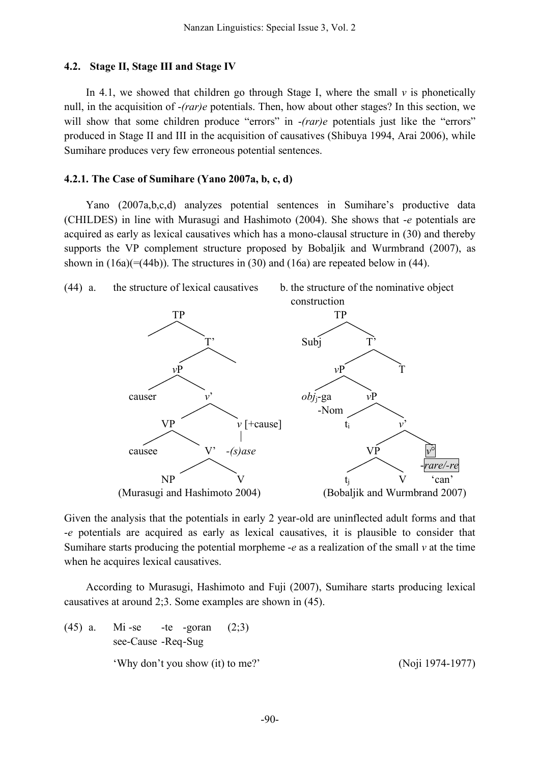### **4.2. Stage II, Stage III and Stage IV**

In 4.1, we showed that children go through Stage I, where the small  $\nu$  is phonetically null, in the acquisition of -*(rar)e* potentials. Then, how about other stages? In this section, we will show that some children produce "errors" in  $-(r a r)e$  potentials just like the "errors" produced in Stage II and III in the acquisition of causatives (Shibuya 1994, Arai 2006), while Sumihare produces very few erroneous potential sentences.

### **4.2.1. The Case of Sumihare (Yano 2007a, b, c, d)**

Yano (2007a,b,c,d) analyzes potential sentences in Sumihare's productive data (CHILDES) in line with Murasugi and Hashimoto (2004). She shows that -*e* potentials are acquired as early as lexical causatives which has a mono-clausal structure in (30) and thereby supports the VP complement structure proposed by Bobaljik and Wurmbrand (2007), as shown in  $(16a)(=(44b))$ . The structures in (30) and (16a) are repeated below in (44).



Given the analysis that the potentials in early 2 year-old are uninflected adult forms and that -*e* potentials are acquired as early as lexical causatives, it is plausible to consider that Sumihare starts producing the potential morpheme -*e* as a realization of the small *v* at the time when he acquires lexical causatives.

According to Murasugi, Hashimoto and Fuji (2007), Sumihare starts producing lexical causatives at around 2;3. Some examples are shown in (45).

(45) a. Mi-se -te -goran  $(2,3)$ see-Cause -Req-Sug 'Why don't you show (it) to me?' (Noji 1974-1977)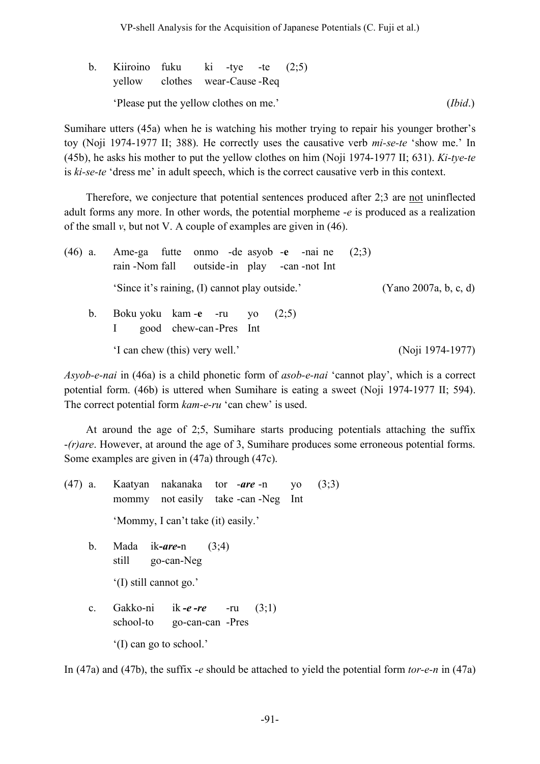VP-shell Analysis for the Acquisition of Japanese Potentials (C. Fuji et al.)

| b. Kiiroino fuku ki -tye -te $(2,5)$   |  |  |  |         |
|----------------------------------------|--|--|--|---------|
| yellow clothes wear-Cause-Req          |  |  |  |         |
| 'Please put the yellow clothes on me.' |  |  |  | (Ibid.) |

Sumihare utters (45a) when he is watching his mother trying to repair his younger brother's toy (Noji 1974-1977 II; 388). He correctly uses the causative verb *mi-se-te* 'show me.' In (45b), he asks his mother to put the yellow clothes on him (Noji 1974-1977 II; 631). *Ki-tye-te* is *ki-se-te* 'dress me' in adult speech, which is the correct causative verb in this context.

Therefore, we conjecture that potential sentences produced after 2;3 are not uninflected adult forms any more. In other words, the potential morpheme -*e* is produced as a realization of the small  $v$ , but not V. A couple of examples are given in (46).

| $(46)$ a.   | Ame-ga futte onmo -de asyob -e -nai ne<br>outside-in play -can -not Int<br>rain -Nom fall | (2:3) |                       |
|-------------|-------------------------------------------------------------------------------------------|-------|-----------------------|
|             | 'Since it's raining, (I) cannot play outside.'                                            |       | (Yano 2007a, b, c, d) |
| $b_{\cdot}$ | Boku yoku kam -e -ru yo<br>(2:5)<br>good chew-can-Pres Int                                |       |                       |
|             | 'I can chew (this) very well.'                                                            |       | (Noji 1974-1977)      |

*Asyob-e-nai* in (46a) is a child phonetic form of *asob-e-nai* 'cannot play', which is a correct potential form. (46b) is uttered when Sumihare is eating a sweet (Noji 1974-1977 II; 594). The correct potential form *kam-e-ru* 'can chew' is used.

At around the age of 2;5, Sumihare starts producing potentials attaching the suffix -*(r)are*. However, at around the age of 3, Sumihare produces some erroneous potential forms. Some examples are given in (47a) through (47c).

- (47) a. Kaatyan nakanaka tor -*are* -n yo (3;3) mommy not easily take -can -Neg Int 'Mommy, I can't take (it) easily.'
	- b. Mada ik**-***are***-**n (3;4) still go-can-Neg
		- '(I) still cannot go.'
	- c. Gakko-ni ik *-e -re* -ru (3;1) school-to go-can-can -Pres '(I) can go to school.'

In (47a) and (47b), the suffix -*e* should be attached to yield the potential form *tor-e-n* in (47a)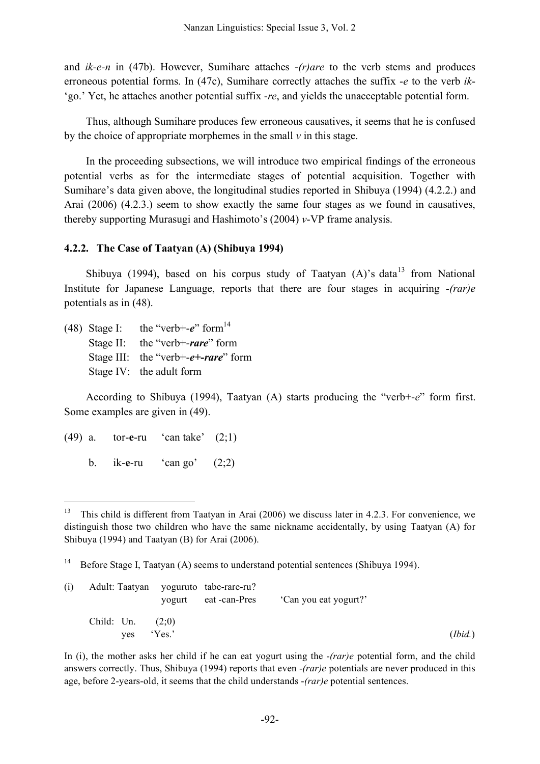and *ik-e-n* in (47b). However, Sumihare attaches -*(r)are* to the verb stems and produces erroneous potential forms. In (47c), Sumihare correctly attaches the suffix -*e* to the verb *ik*- 'go.' Yet, he attaches another potential suffix -*re*, and yields the unacceptable potential form.

Thus, although Sumihare produces few erroneous causatives, it seems that he is confused by the choice of appropriate morphemes in the small *v* in this stage.

In the proceeding subsections, we will introduce two empirical findings of the erroneous potential verbs as for the intermediate stages of potential acquisition. Together with Sumihare's data given above, the longitudinal studies reported in Shibuya (1994) (4.2.2.) and Arai (2006) (4.2.3.) seem to show exactly the same four stages as we found in causatives, thereby supporting Murasugi and Hashimoto's (2004) *v*-VP frame analysis.

# **4.2.2. The Case of Taatyan (A) (Shibuya 1994)**

Shibuya (1994), based on his corpus study of Taatyan (A)'s data<sup>13</sup> from National Institute for Japanese Language, reports that there are four stages in acquiring -*(rar)e* potentials as in (48).

(48) Stage I: the "verb+- $e$ " form<sup>14</sup>

Stage II: the "verb+-*rare*" form

- Stage III: the "verb+-*e+-rare*" form
- Stage IV: the adult form

According to Shibuya (1994), Taatyan (A) starts producing the "verb+-*e*" form first. Some examples are given in (49).

- (49) a. tor-**e**-ru 'can take' (2;1)
	- b. ik-**e**-ru 'can go' (2;2)

<sup>&</sup>lt;sup>14</sup> Before Stage I, Taatyan (A) seems to understand potential sentences (Shibuya 1994).

| (i) |                    |     |        | Adult: Taatyan yoguruto tabe-rare-ru?<br>yogurt eat-can-Pres | 'Can you eat yogurt?' |         |
|-----|--------------------|-----|--------|--------------------------------------------------------------|-----------------------|---------|
|     | Child: Un. $(2,0)$ |     |        |                                                              |                       |         |
|     |                    | ves | 'Yes.' |                                                              |                       | (Ibid.) |

In (i), the mother asks her child if he can eat yogurt using the -*(rar)e* potential form, and the child answers correctly. Thus, Shibuya (1994) reports that even -*(rar)e* potentials are never produced in this age, before 2-years-old, it seems that the child understands -*(rar)e* potential sentences.

<sup>&</sup>lt;sup>13</sup> This child is different from Taatyan in Arai (2006) we discuss later in 4.2.3. For convenience, we distinguish those two children who have the same nickname accidentally, by using Taatyan (A) for Shibuya (1994) and Taatyan (B) for Arai (2006).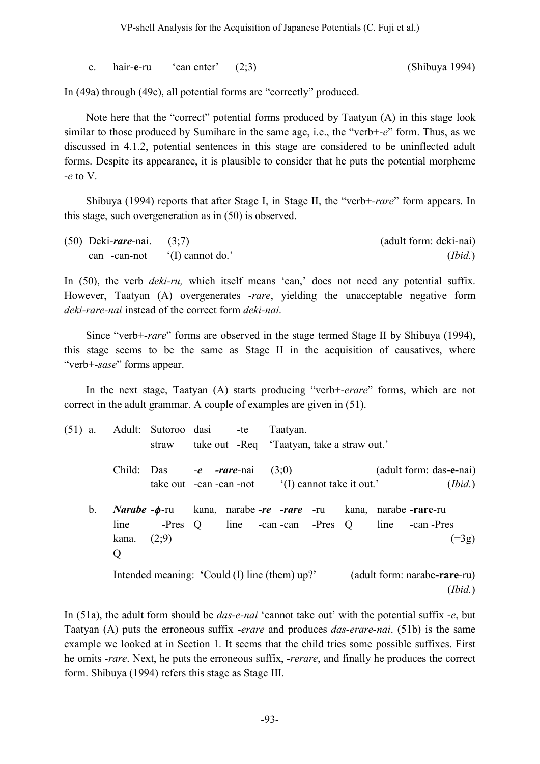c. hair-**e**-ru 'can enter' (2;3) (Shibuya 1994)

In (49a) through (49c), all potential forms are "correctly" produced.

Note here that the "correct" potential forms produced by Taatyan (A) in this stage look similar to those produced by Sumihare in the same age, i.e., the "verb+-*e*" form. Thus, as we discussed in 4.1.2, potential sentences in this stage are considered to be uninflected adult forms. Despite its appearance, it is plausible to consider that he puts the potential morpheme -*e* to V.

Shibuya (1994) reports that after Stage I, in Stage II, the "verb+*-rare*" form appears. In this stage, such overgeneration as in (50) is observed.

| $(50)$ Deki- <i>rare</i> -nai. $(3,7)$ |                                | (adult form: deki-nai) |
|----------------------------------------|--------------------------------|------------------------|
|                                        | can -can-not $(1)$ cannot do.' | (Ibid.)                |

In (50), the verb *deki-ru,* which itself means 'can,' does not need any potential suffix. However, Taatyan (A) overgenerates *-rare*, yielding the unacceptable negative form *deki-rare-nai* instead of the correct form *deki-nai*.

Since "verb+*-rare*" forms are observed in the stage termed Stage II by Shibuya (1994), this stage seems to be the same as Stage II in the acquisition of causatives, where "verb+-*sase*" forms appear.

In the next stage, Taatyan (A) starts producing "verb+-*erare*" forms, which are not correct in the adult grammar. A couple of examples are given in (51).

| $(51)$ a.   |                            | straw | Adult: Sutoroo dasi                           | -te Taatyan.<br>take out -Req 'Taatyan, take a straw out.'                                                                            |                                         |
|-------------|----------------------------|-------|-----------------------------------------------|---------------------------------------------------------------------------------------------------------------------------------------|-----------------------------------------|
|             |                            |       | Child: Das -e -rare-nai $(3,0)$               | take out -can -can -not (I) cannot take it out.'                                                                                      | (adult form: das-e-nai)<br>(Ibid.)      |
| $b_{\cdot}$ | line<br>kana. $(2,9)$<br>Q |       |                                               | <i>Narabe</i> $-\phi$ -ru kana, narabe $-re$ $- rare$ -ru kana, narabe $- rare$ -ru<br>-Pres Q line -can -can -Pres Q line -can -Pres | $( = 3g)$                               |
|             |                            |       | Intended meaning: 'Could (I) line (them) up?' |                                                                                                                                       | (adult form: narabe-rare-ru)<br>(Ibid.) |

In (51a), the adult form should be *das-e-nai* 'cannot take out' with the potential suffix -*e*, but Taatyan (A) puts the erroneous suffix -*erare* and produces *das-erare-nai*. (51b) is the same example we looked at in Section 1. It seems that the child tries some possible suffixes. First he omits *-rare*. Next, he puts the erroneous suffix, *-rerare*, and finally he produces the correct form. Shibuya (1994) refers this stage as Stage III.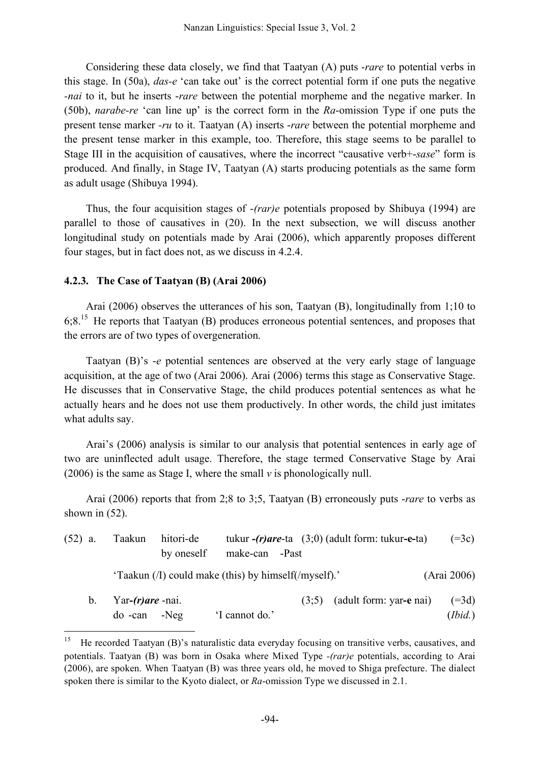Considering these data closely, we find that Taatyan (A) puts -*rare* to potential verbs in this stage. In (50a), *das-e* 'can take out' is the correct potential form if one puts the negative *-nai* to it, but he inserts -*rare* between the potential morpheme and the negative marker. In (50b), *narabe-re* 'can line up' is the correct form in the *Ra*-omission Type if one puts the present tense marker *-ru* to it. Taatyan (A) inserts -*rare* between the potential morpheme and the present tense marker in this example, too. Therefore, this stage seems to be parallel to Stage III in the acquisition of causatives, where the incorrect "causative verb+-*sase*" form is produced. And finally, in Stage IV, Taatyan (A) starts producing potentials as the same form as adult usage (Shibuya 1994).

Thus, the four acquisition stages of -*(rar)e* potentials proposed by Shibuya (1994) are parallel to those of causatives in (20). In the next subsection, we will discuss another longitudinal study on potentials made by Arai (2006), which apparently proposes different four stages, but in fact does not, as we discuss in 4.2.4.

# **4.2.3. The Case of Taatyan (B) (Arai 2006)**

Arai (2006) observes the utterances of his son, Taatyan (B), longitudinally from 1;10 to 6;8.15 He reports that Taatyan (B) produces erroneous potential sentences, and proposes that the errors are of two types of overgeneration.

Taatyan (B)'s -*e* potential sentences are observed at the very early stage of language acquisition, at the age of two (Arai 2006). Arai (2006) terms this stage as Conservative Stage. He discusses that in Conservative Stage, the child produces potential sentences as what he actually hears and he does not use them productively. In other words, the child just imitates what adults say.

Arai's (2006) analysis is similar to our analysis that potential sentences in early age of two are uninflected adult usage. Therefore, the stage termed Conservative Stage by Arai (2006) is the same as Stage I, where the small *v* is phonologically null.

Arai (2006) reports that from 2;8 to 3;5, Taatyan (B) erroneously puts -*rare* to verbs as shown in  $(52)$ .

| $(52)$ a. |                | Taakun                                 | hitori-de<br>by oneself | make-can -Past                                       |       | tukur $-(r)$ are-ta $(3,0)$ (adult form: tukur-e-ta) | $(=3c)$            |
|-----------|----------------|----------------------------------------|-------------------------|------------------------------------------------------|-------|------------------------------------------------------|--------------------|
|           |                |                                        |                         | 'Taakun (/I) could make (this) by himself(/myself).' |       |                                                      | (Arai 2006)        |
|           | b <sub>1</sub> | Yar- $(r)$ are -nai.<br>$do$ -can -Neg |                         | 'I cannot do.'                                       | (3:5) | (adult form: yar-e nai)                              | $(=3d)$<br>(Ibid.) |

<sup>&</sup>lt;sup>15</sup> He recorded Taatyan (B)'s naturalistic data everyday focusing on transitive verbs, causatives, and potentials. Taatyan (B) was born in Osaka where Mixed Type *-(rar)e* potentials, according to Arai (2006), are spoken. When Taatyan (B) was three years old, he moved to Shiga prefecture. The dialect spoken there is similar to the Kyoto dialect, or *Ra*-omission Type we discussed in 2.1.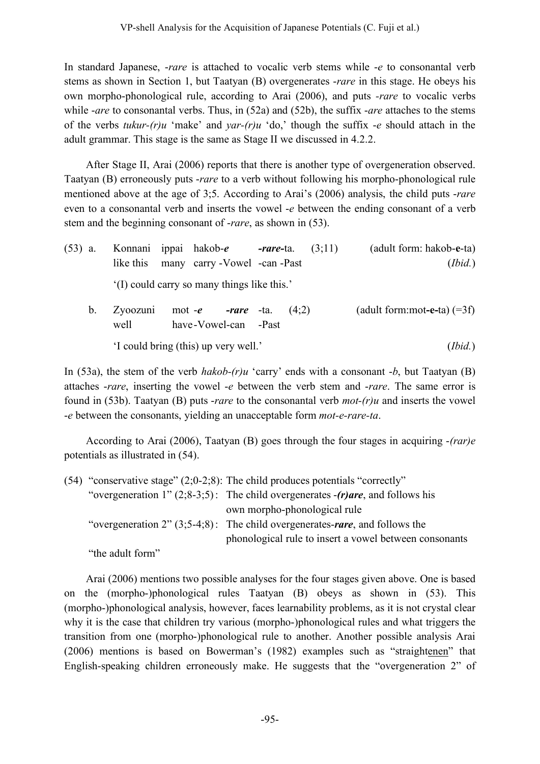In standard Japanese, -*rare* is attached to vocalic verb stems while -*e* to consonantal verb stems as shown in Section 1, but Taatyan (B) overgenerates -*rare* in this stage. He obeys his own morpho-phonological rule, according to Arai (2006), and puts *-rare* to vocalic verbs while *-are* to consonantal verbs. Thus, in (52a) and (52b), the suffix *-are* attaches to the stems of the verbs *tukur-(r)u* 'make' and *yar-(r)u* 'do,' though the suffix -*e* should attach in the adult grammar. This stage is the same as Stage II we discussed in 4.2.2.

After Stage II, Arai (2006) reports that there is another type of overgeneration observed. Taatyan (B) erroneously puts -*rare* to a verb without following his morpho-phonological rule mentioned above at the age of 3;5. According to Arai's (2006) analysis, the child puts -*rare* even to a consonantal verb and inserts the vowel -*e* between the ending consonant of a verb stem and the beginning consonant of -*rare*, as shown in (53).

| $(53)$ a. |             |                  | Konnani ippai hakob- <i>e</i><br>like this many carry - Vowel - can - Past |  | <b><i>-rare-ta.</i></b> $(3,11)$ | (adult form: hakob-e-ta)<br>(Ibid.) |
|-----------|-------------|------------------|----------------------------------------------------------------------------|--|----------------------------------|-------------------------------------|
|           |             |                  | (I) could carry so many things like this.'                                 |  |                                  |                                     |
|           | $b_{\cdot}$ | Zyoozuni<br>well | mot - <i>e</i> - <i>rare</i> -ta. $(4,2)$<br>have-Vowel-can -Past          |  |                                  | (adult form:mot-e-ta) $(=3f)$       |

'I could bring (this) up very well.' (*Ibid.*)

In (53a), the stem of the verb *hakob-(r)u* 'carry' ends with a consonant -*b*, but Taatyan (B) attaches -*rare*, inserting the vowel -*e* between the verb stem and -*rare*. The same error is found in (53b). Taatyan (B) puts -*rare* to the consonantal verb *mot-(r)u* and inserts the vowel -*e* between the consonants, yielding an unacceptable form *mot-e-rare-ta*.

According to Arai (2006), Taatyan (B) goes through the four stages in acquiring -*(rar)e* potentials as illustrated in (54).

(54) "conservative stage" (2;0-2;8): The child produces potentials "correctly" "overgeneration 1" (2;8-3;5): The child overgenerates -*(r)are*, and follows his own morpho-phonological rule "overgeneration 2" (3;5-4;8): The child overgenerates-*rare*, and follows the phonological rule to insert a vowel between consonants "the adult form"

Arai (2006) mentions two possible analyses for the four stages given above. One is based on the (morpho-)phonological rules Taatyan (B) obeys as shown in (53). This (morpho-)phonological analysis, however, faces learnability problems, as it is not crystal clear why it is the case that children try various (morpho-)phonological rules and what triggers the transition from one (morpho-)phonological rule to another. Another possible analysis Arai (2006) mentions is based on Bowerman's (1982) examples such as "straightenen" that English-speaking children erroneously make. He suggests that the "overgeneration 2" of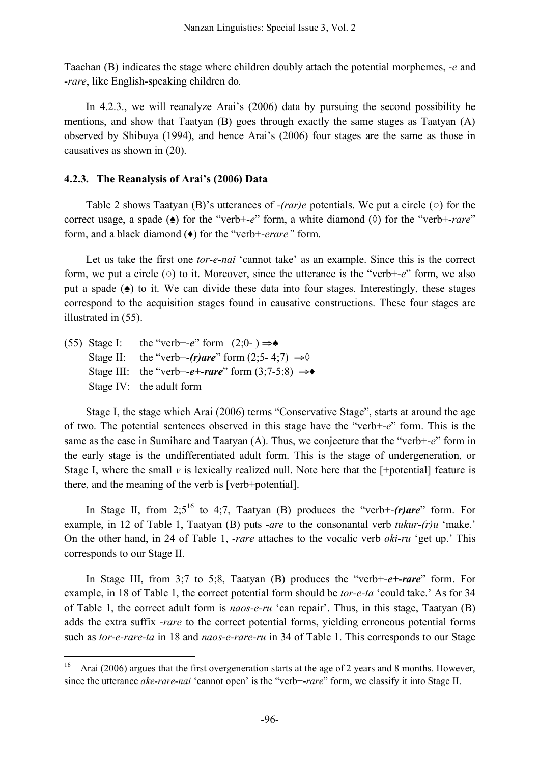Taachan (B) indicates the stage where children doubly attach the potential morphemes, -*e* and -*rare*, like English-speaking children do*.*

In 4.2.3., we will reanalyze Arai's (2006) data by pursuing the second possibility he mentions, and show that Taatyan  $(B)$  goes through exactly the same stages as Taatyan  $(A)$ observed by Shibuya (1994), and hence Arai's (2006) four stages are the same as those in causatives as shown in (20).

## **4.2.3. The Reanalysis of Arai's (2006) Data**

Table 2 shows Taatyan (B)'s utterances of *-(rar)e* potentials. We put a circle (○) for the correct usage, a spade (♠) for the "verb+-*e*" form, a white diamond (◊) for the "verb+-*rare*" form, and a black diamond (♦) for the "verb+-*erare"* form.

Let us take the first one *tor-e-nai* 'cannot take' as an example. Since this is the correct form, we put a circle (○) to it. Moreover, since the utterance is the "verb+-*e*" form, we also put a spade (♠) to it. We can divide these data into four stages. Interestingly, these stages correspond to the acquisition stages found in causative constructions. These four stages are illustrated in (55).

|  | (55) Stage I: the "verb+-e" form $(2,0) \rightarrow \bullet$                  |
|--|-------------------------------------------------------------------------------|
|  | Stage II: the "verb+-(r)are" form $(2,5-4,7) \Rightarrow$                     |
|  | Stage III: the "verb+- <i>e</i> +- <i>rare</i> " form $(3,7-5,8) \Rightarrow$ |
|  | Stage IV: the adult form                                                      |

Stage I, the stage which Arai (2006) terms "Conservative Stage", starts at around the age of two. The potential sentences observed in this stage have the "verb+-*e*" form. This is the same as the case in Sumihare and Taatyan (A). Thus, we conjecture that the "verb+-*e*" form in the early stage is the undifferentiated adult form. This is the stage of undergeneration, or Stage I, where the small  $\nu$  is lexically realized null. Note here that the  $[+\text{potential}]$  feature is there, and the meaning of the verb is [verb+potential].

In Stage II, from 2;5<sup>16</sup> to 4;7, Taatyan (B) produces the "verb+-*(r)are*" form. For example, in 12 of Table 1, Taatyan (B) puts -*are* to the consonantal verb *tukur-(r)u* 'make.' On the other hand, in 24 of Table 1, -*rare* attaches to the vocalic verb *oki-ru* 'get up.' This corresponds to our Stage II.

In Stage III, from 3;7 to 5;8, Taatyan (B) produces the "verb+-*e+-rare*" form. For example, in 18 of Table 1, the correct potential form should be *tor-e-ta* 'could take.' As for 34 of Table 1, the correct adult form is *naos-e-ru* 'can repair'. Thus, in this stage, Taatyan (B) adds the extra suffix -*rare* to the correct potential forms, yielding erroneous potential forms such as *tor-e-rare-ta* in 18 and *naos-e-rare-ru* in 34 of Table 1. This corresponds to our Stage

<sup>&</sup>lt;sup>16</sup> Arai (2006) argues that the first overgeneration starts at the age of 2 years and 8 months. However, since the utterance *ake-rare-nai* 'cannot open' is the "verb+-*rare*" form, we classify it into Stage II.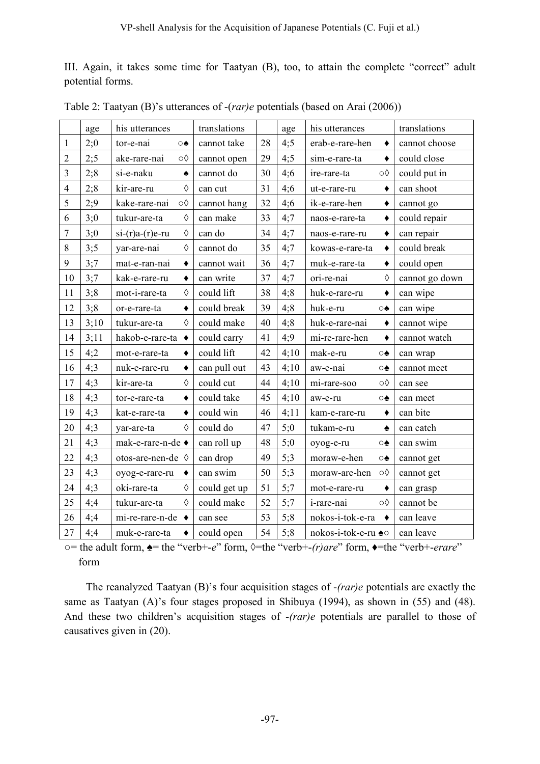III. Again, it takes some time for Taatyan (B), too, to attain the complete "correct" adult potential forms.

|                | age  | his utterances                     | translations |    | age  | his utterances      |                  | translations   |
|----------------|------|------------------------------------|--------------|----|------|---------------------|------------------|----------------|
| 1              | 2;0  | tor-e-nai<br>⊙♠                    | cannot take  | 28 | 4;5  | erab-e-rare-hen     | ٠                | cannot choose  |
| $\overline{c}$ | 2:5  | ake-rare-nai<br>$\circ \Diamond$   | cannot open  | 29 | 4:5  | sim-e-rare-ta       | $\bullet$        | could close    |
| $\overline{3}$ | 2;8  | si-e-naku<br>$\blacklozenge$       | cannot do    | 30 | 4;6  | ire-rare-ta         | $\circ \Diamond$ | could put in   |
| 4              | 2;8  | kir-are-ru<br>♦                    | can cut      | 31 | 4;6  | ut-e-rare-ru        | ٠                | can shoot      |
| 5              | 2;9  | $\circ \Diamond$<br>kake-rare-nai  | cannot hang  | 32 | 4;6  | ik-e-rare-hen       | ٠                | cannot go      |
| 6              | 3;0  | $\Diamond$<br>tukur-are-ta         | can make     | 33 | 4:7  | naos-e-rare-ta      | $\blacklozenge$  | could repair   |
| $\overline{7}$ | 3;0  | $\Diamond$<br>$si-(r)a-(r)e-ru$    | can do       | 34 | 4:7  | naos-e-rare-ru      | $\blacklozenge$  | can repair     |
| 8              | 3;5  | $\Diamond$<br>yar-are-nai          | cannot do    | 35 | 4:7  | kowas-e-rare-ta     | ٠                | could break    |
| 9              | 3:7  | mat-e-ran-nai<br>٠                 | cannot wait  | 36 | 4:7  | muk-e-rare-ta       | $\bullet$        | could open     |
| 10             | 3:7  | kak-e-rare-ru<br>$\bullet$         | can write    | 37 | 4:7  | ori-re-nai          | $\Diamond$       | cannot go down |
| 11             | 3;8  | $\Diamond$<br>mot-i-rare-ta        | could lift   | 38 | 4;8  | huk-e-rare-ru       | ٠                | can wipe       |
| 12             | 3;8  | $\blacklozenge$<br>or-e-rare-ta    | could break  | 39 | 4;8  | huk-e-ru            | ⊙♠               | can wipe       |
| 13             | 3;10 | tukur-are-ta<br>$\Diamond$         | could make   | 40 | 4;8  | huk-e-rare-nai      | ٠                | cannot wipe    |
| 14             | 3:11 | $\blacklozenge$<br>hakob-e-rare-ta | could carry  | 41 | 4;9  | mi-re-rare-hen      | ٠                | cannot watch   |
| 15             | 4:2  | mot-e-rare-ta<br>٠                 | could lift   | 42 | 4:10 | mak-e-ru            | ⊙♠               | can wrap       |
| 16             | 4:3  | nuk-e-rare-ru<br>$\blacklozenge$   | can pull out | 43 | 4:10 | aw-e-nai            | ⊙♠               | cannot meet    |
| 17             | 4;3  | $\Diamond$<br>kir-are-ta           | could cut    | 44 | 4;10 | mi-rare-soo         | ∘                | can see        |
| 18             | 4:3  | $\blacklozenge$<br>tor-e-rare-ta   | could take   | 45 | 4;10 | aw-e-ru             | ⊙♠               | can meet       |
| 19             | 4:3  | kat-e-rare-ta<br>$\blacklozenge$   | could win    | 46 | 4;11 | kam-e-rare-ru       | $\blacklozenge$  | can bite       |
| 20             | 4:3  | $\Diamond$<br>yar-are-ta           | could do     | 47 | 5;0  | tukam-e-ru          | ♠                | can catch      |
| 21             | 4:3  | mak-e-rare-n-de ◆                  | can roll up  | 48 | 5;0  | oyog-e-ru           | ⊙♠               | can swim       |
| 22             | 4:3  | otos-are-nen-de ◊                  | can drop     | 49 | 5;3  | moraw-e-hen         | ⊙♠               | cannot get     |
| 23             | 4;3  | oyog-e-rare-ru                     | can swim     | 50 | 5:3  | moraw-are-hen       | $\circ \Diamond$ | cannot get     |
| 24             | 4;3  | $\Diamond$<br>oki-rare-ta          | could get up | 51 | 5:7  | mot-e-rare-ru       | ٠                | can grasp      |
| 25             | 4;4  | $\Diamond$<br>tukur-are-ta         | could make   | 52 | 5;7  | i-rare-nai          | $\circ \Diamond$ | cannot be      |
| 26             | 4;4  | mi-re-rare-n-de                    | can see      | 53 | 5;8  | nokos-i-tok-e-ra    |                  | can leave      |
| 27             | 4;4  | muk-e-rare-ta<br>٠                 | could open   | 54 | 5;8  | nokos-i-tok-e-ru ◆o |                  | can leave      |

Table 2: Taatyan (B)'s utterances of -(*rar)e* potentials (based on Arai (2006))

○= the adult form, ♠= the "verb+-*e*" form, ◊=the "verb+-*(r)are*" form, ♦=the "verb+-*erare*" form

The reanalyzed Taatyan (B)'s four acquisition stages of -*(rar)e* potentials are exactly the same as Taatyan (A)'s four stages proposed in Shibuya (1994), as shown in (55) and (48). And these two children's acquisition stages of -*(rar)e* potentials are parallel to those of causatives given in (20).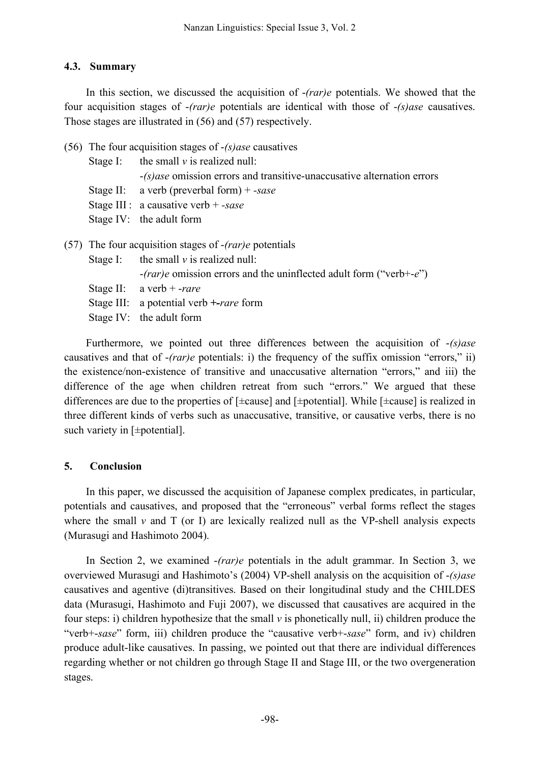# **4.3. Summary**

In this section, we discussed the acquisition of -*(rar)e* potentials. We showed that the four acquisition stages of -*(rar)e* potentials are identical with those of -*(s)ase* causatives. Those stages are illustrated in (56) and (57) respectively.

|                                            | (56) The four acquisition stages of $-(s)$ <i>ase</i> causatives |                                                                           |  |  |  |
|--------------------------------------------|------------------------------------------------------------------|---------------------------------------------------------------------------|--|--|--|
| Stage I: the small $\nu$ is realized null: |                                                                  |                                                                           |  |  |  |
|                                            |                                                                  | $-(s)$ ase omission errors and transitive-unaccusative alternation errors |  |  |  |
| Stage II: a verb (preverbal form) + -sase  |                                                                  |                                                                           |  |  |  |
|                                            | Stage III : a causative verb + -sase                             |                                                                           |  |  |  |
|                                            |                                                                  | Stage IV: the adult form                                                  |  |  |  |
|                                            |                                                                  | $(57)$ The four acquisition stages of - <i>(rar)e</i> potentials          |  |  |  |
|                                            |                                                                  | Stage I: the small $\nu$ is realized null:                                |  |  |  |
|                                            |                                                                  | $-(rar)e$ omission errors and the uninflected adult form ("verb+-e")      |  |  |  |
|                                            |                                                                  |                                                                           |  |  |  |

- Stage II: a verb + -*rare*
- Stage III: a potential verb *+-rare* form
- Stage IV: the adult form

Furthermore, we pointed out three differences between the acquisition of -*(s)ase* causatives and that of -*(rar)e* potentials: i) the frequency of the suffix omission "errors," ii) the existence/non-existence of transitive and unaccusative alternation "errors," and iii) the difference of the age when children retreat from such "errors." We argued that these differences are due to the properties of [±cause] and [±potential]. While [±cause] is realized in three different kinds of verbs such as unaccusative, transitive, or causative verbs, there is no such variety in [ $\pm$ potential].

# **5. Conclusion**

In this paper, we discussed the acquisition of Japanese complex predicates, in particular, potentials and causatives, and proposed that the "erroneous" verbal forms reflect the stages where the small  $\nu$  and  $T$  (or I) are lexically realized null as the VP-shell analysis expects (Murasugi and Hashimoto 2004).

In Section 2, we examined -*(rar)e* potentials in the adult grammar. In Section 3, we overviewed Murasugi and Hashimoto's (2004) VP-shell analysis on the acquisition of -*(s)ase* causatives and agentive (di)transitives. Based on their longitudinal study and the CHILDES data (Murasugi, Hashimoto and Fuji 2007), we discussed that causatives are acquired in the four steps: i) children hypothesize that the small  $\nu$  is phonetically null, ii) children produce the "verb+-*sase*" form, iii) children produce the "causative verb+-*sase*" form, and iv) children produce adult-like causatives. In passing, we pointed out that there are individual differences regarding whether or not children go through Stage II and Stage III, or the two overgeneration stages.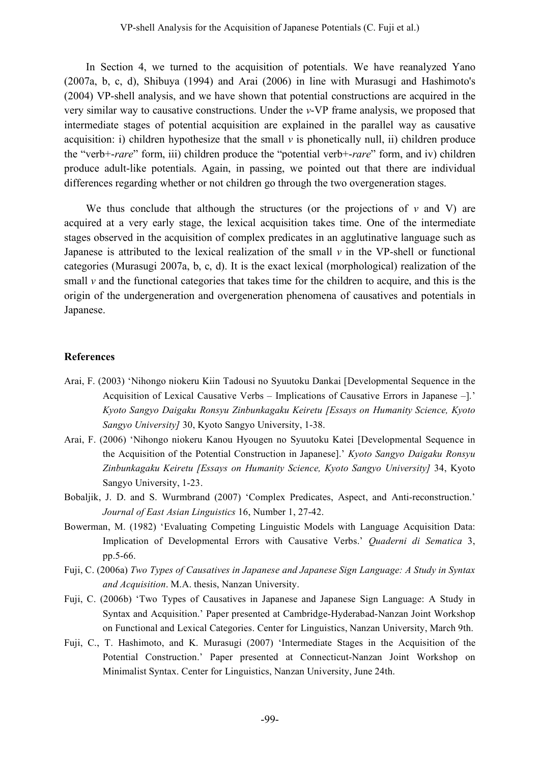In Section 4, we turned to the acquisition of potentials. We have reanalyzed Yano (2007a, b, c, d), Shibuya (1994) and Arai (2006) in line with Murasugi and Hashimoto's (2004) VP-shell analysis, and we have shown that potential constructions are acquired in the very similar way to causative constructions. Under the *v*-VP frame analysis, we proposed that intermediate stages of potential acquisition are explained in the parallel way as causative acquisition: i) children hypothesize that the small  $\nu$  is phonetically null, ii) children produce the "verb+-*rare*" form, iii) children produce the "potential verb+-*rare*" form, and iv) children produce adult-like potentials. Again, in passing, we pointed out that there are individual differences regarding whether or not children go through the two overgeneration stages.

We thus conclude that although the structures (or the projections of  $v$  and  $V$ ) are acquired at a very early stage, the lexical acquisition takes time. One of the intermediate stages observed in the acquisition of complex predicates in an agglutinative language such as Japanese is attributed to the lexical realization of the small  $\nu$  in the VP-shell or functional categories (Murasugi 2007a, b, c, d). It is the exact lexical (morphological) realization of the small *v* and the functional categories that takes time for the children to acquire, and this is the origin of the undergeneration and overgeneration phenomena of causatives and potentials in Japanese.

# **References**

- Arai, F. (2003) 'Nihongo niokeru Kiin Tadousi no Syuutoku Dankai [Developmental Sequence in the Acquisition of Lexical Causative Verbs – Implications of Causative Errors in Japanese –].' *Kyoto Sangyo Daigaku Ronsyu Zinbunkagaku Keiretu [Essays on Humanity Science, Kyoto Sangyo University]* 30, Kyoto Sangyo University, 1-38.
- Arai, F. (2006) 'Nihongo niokeru Kanou Hyougen no Syuutoku Katei [Developmental Sequence in the Acquisition of the Potential Construction in Japanese].' *Kyoto Sangyo Daigaku Ronsyu Zinbunkagaku Keiretu [Essays on Humanity Science, Kyoto Sangyo University]* 34, Kyoto Sangyo University, 1-23.
- Bobaljik, J. D. and S. Wurmbrand (2007) 'Complex Predicates, Aspect, and Anti-reconstruction.' *Journal of East Asian Linguistics* 16, Number 1, 27-42.
- Bowerman, M. (1982) 'Evaluating Competing Linguistic Models with Language Acquisition Data: Implication of Developmental Errors with Causative Verbs.' *Quaderni di Sematica* 3, pp.5-66.
- Fuji, C. (2006a) *Two Types of Causatives in Japanese and Japanese Sign Language: A Study in Syntax and Acquisition*. M.A. thesis, Nanzan University.
- Fuji, C. (2006b) 'Two Types of Causatives in Japanese and Japanese Sign Language: A Study in Syntax and Acquisition.' Paper presented at Cambridge-Hyderabad-Nanzan Joint Workshop on Functional and Lexical Categories. Center for Linguistics, Nanzan University, March 9th.
- Fuji, C., T. Hashimoto, and K. Murasugi (2007) 'Intermediate Stages in the Acquisition of the Potential Construction.' Paper presented at Connecticut-Nanzan Joint Workshop on Minimalist Syntax. Center for Linguistics, Nanzan University, June 24th.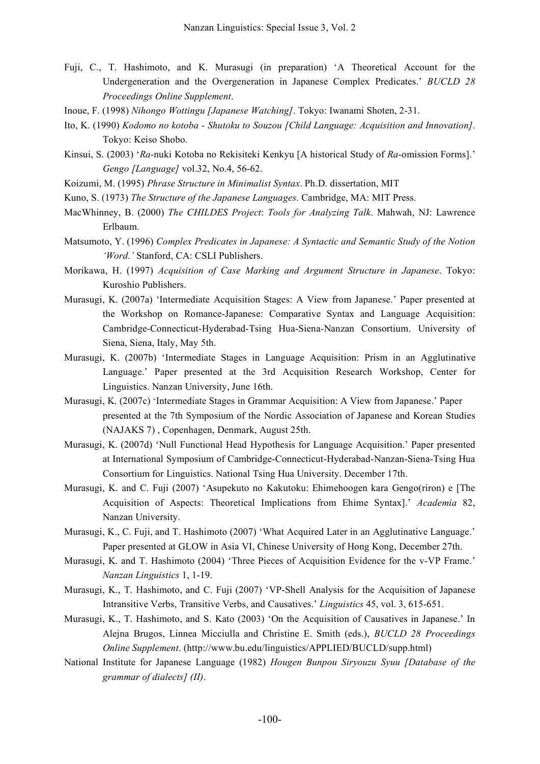- Fuji, C., T. Hashimoto, and K. Murasugi (in preparation) 'A Theoretical Account for the Undergeneration and the Overgeneration in Japanese Complex Predicates.' *BUCLD 28 Proceedings Online Supplement*.
- Inoue, F. (1998) *Nihongo Wottingu [Japanese Watching]*. Tokyo: Iwanami Shoten, 2-31.
- Ito, K. (1990) *Kodomo no kotoba - Shutoku to Souzou [Child Language: Acquisition and Innovation].* Tokyo: Keiso Shobo.
- Kinsui, S. (2003) '*Ra*-nuki Kotoba no Rekisiteki Kenkyu [A historical Study of *Ra*-omission Forms].' *Gengo [Language]* vol.32, No.4, 56-62.
- Koizumi, M. (1995) *Phrase Structure in Minimalist Syntax*. Ph.D. dissertation, MIT
- Kuno, S. (1973) *The Structure of the Japanese Languages*. Cambridge, MA: MIT Press.
- MacWhinney, B. (2000) *The CHILDES Project*: *Tools for Analyzing Talk*. Mahwah, NJ: Lawrence Erlbaum.
- Matsumoto, Y. (1996) *Complex Predicates in Japanese: A Syntactic and Semantic Study of the Notion 'Word.'* Stanford, CA: CSLI Publishers.
- Morikawa, H. (1997) *Acquisition of Case Marking and Argument Structure in Japanese*. Tokyo: Kuroshio Publishers.
- Murasugi, K. (2007a) 'Intermediate Acquisition Stages: A View from Japanese.' Paper presented at the Workshop on Romance-Japanese: Comparative Syntax and Language Acquisition: Cambridge-Connecticut-Hyderabad-Tsing Hua-Siena-Nanzan Consortium. University of Siena, Siena, Italy, May 5th.
- Murasugi, K. (2007b) 'Intermediate Stages in Language Acquisition: Prism in an Agglutinative Language.' Paper presented at the 3rd Acquisition Research Workshop, Center for Linguistics. Nanzan University, June 16th.
- Murasugi, K. (2007c) 'Intermediate Stages in Grammar Acquisition: A View from Japanese.' Paper presented at the 7th Symposium of the Nordic Association of Japanese and Korean Studies (NAJAKS 7) , Copenhagen, Denmark, August 25th.
- Murasugi, K. (2007d) 'Null Functional Head Hypothesis for Language Acquisition.' Paper presented at International Symposium of Cambridge-Connecticut-Hyderabad-Nanzan-Siena-Tsing Hua Consortium for Linguistics. National Tsing Hua University. December 17th.
- Murasugi, K. and C. Fuji (2007) 'Asupekuto no Kakutoku: Ehimehoogen kara Gengo(riron) e [The Acquisition of Aspects: Theoretical Implications from Ehime Syntax].' *Academia* 82, Nanzan University.
- Murasugi, K., C. Fuji, and T. Hashimoto (2007) 'What Acquired Later in an Agglutinative Language.' Paper presented at GLOW in Asia VI, Chinese University of Hong Kong, December 27th.
- Murasugi, K. and T. Hashimoto (2004) 'Three Pieces of Acquisition Evidence for the v-VP Frame.' *Nanzan Linguistics* 1, 1-19.
- Murasugi, K., T. Hashimoto, and C. Fuji (2007) 'VP-Shell Analysis for the Acquisition of Japanese Intransitive Verbs, Transitive Verbs, and Causatives.' *Linguistics* 45, vol. 3, 615-651.
- Murasugi, K., T. Hashimoto, and S. Kato (2003) 'On the Acquisition of Causatives in Japanese.' In Alejna Brugos, Linnea Micciulla and Christine E. Smith (eds.), *BUCLD 28 Proceedings Online Supplement*. (http://www.bu.edu/linguistics/APPLIED/BUCLD/supp.html)
- National Institute for Japanese Language (1982) *Hougen Bunpou Siryouzu Syuu [Database of the grammar of dialects] (II)*.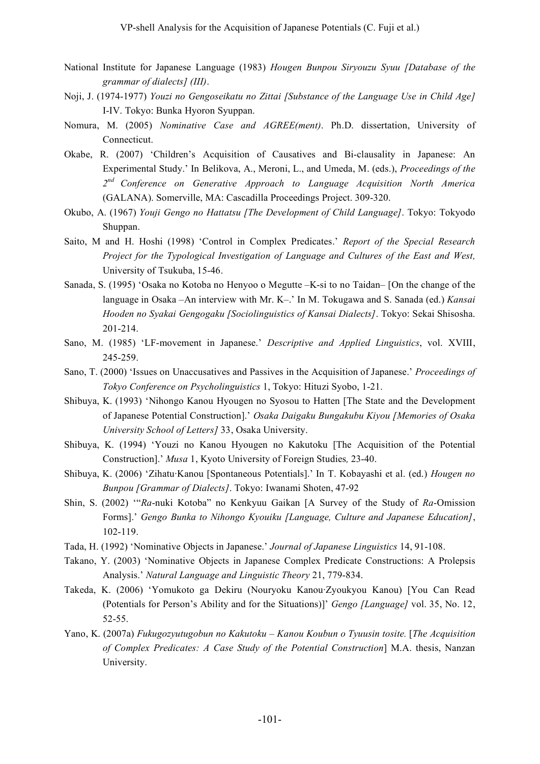- National Institute for Japanese Language (1983) *Hougen Bunpou Siryouzu Syuu [Database of the grammar of dialects] (III)*.
- Noji, J. (1974-1977) *Youzi no Gengoseikatu no Zittai [Substance of the Language Use in Child Age]* I-IV. Tokyo: Bunka Hyoron Syuppan.
- Nomura, M. (2005) *Nominative Case and AGREE(ment)*. Ph.D. dissertation, University of Connecticut.
- Okabe, R. (2007) 'Children's Acquisition of Causatives and Bi-clausality in Japanese: An Experimental Study.' In Belikova, A., Meroni, L., and Umeda, M. (eds.), *Proceedings of the 2nd Conference on Generative Approach to Language Acquisition North America* (GALANA). Somerville, MA: Cascadilla Proceedings Project. 309-320.
- Okubo, A. (1967) *Youji Gengo no Hattatsu [The Development of Child Language]*. Tokyo: Tokyodo Shuppan.
- Saito, M and H. Hoshi (1998) 'Control in Complex Predicates.' *Report of the Special Research Project for the Typological Investigation of Language and Cultures of the East and West,* University of Tsukuba, 15-46.
- Sanada, S. (1995) 'Osaka no Kotoba no Henyoo o Megutte –K-si to no Taidan– [On the change of the language in Osaka –An interview with Mr. K–.' In M. Tokugawa and S. Sanada (ed.) *Kansai Hooden no Syakai Gengogaku [Sociolinguistics of Kansai Dialects]*. Tokyo: Sekai Shisosha. 201-214.
- Sano, M. (1985) 'LF-movement in Japanese.' *Descriptive and Applied Linguistics*, vol. XVIII, 245-259.
- Sano, T. (2000) 'Issues on Unaccusatives and Passives in the Acquisition of Japanese.' *Proceedings of Tokyo Conference on Psycholinguistics* 1, Tokyo: Hituzi Syobo, 1-21.
- Shibuya, K. (1993) 'Nihongo Kanou Hyougen no Syosou to Hatten [The State and the Development of Japanese Potential Construction].' *Osaka Daigaku Bungakubu Kiyou [Memories of Osaka University School of Letters]* 33, Osaka University.
- Shibuya, K. (1994) 'Youzi no Kanou Hyougen no Kakutoku [The Acquisition of the Potential Construction].' *Musa* 1, Kyoto University of Foreign Studies*,* 23-40.
- Shibuya, K. (2006) 'Zihatu·Kanou [Spontaneous Potentials].' In T. Kobayashi et al. (ed.) *Hougen no Bunpou [Grammar of Dialects]*. Tokyo: Iwanami Shoten, 47-92
- Shin, S. (2002) '"*Ra*-nuki Kotoba" no Kenkyuu Gaikan [A Survey of the Study of *Ra*-Omission Forms].' *Gengo Bunka to Nihongo Kyouiku [Language, Culture and Japanese Education]*, 102-119.
- Tada, H. (1992) 'Nominative Objects in Japanese.' *Journal of Japanese Linguistics* 14, 91-108.
- Takano, Y. (2003) 'Nominative Objects in Japanese Complex Predicate Constructions: A Prolepsis Analysis.' *Natural Language and Linguistic Theory* 21, 779-834.
- Takeda, K. (2006) 'Yomukoto ga Dekiru (Nouryoku Kanou·Zyoukyou Kanou) [You Can Read (Potentials for Person's Ability and for the Situations)]' *Gengo [Language]* vol. 35, No. 12, 52-55.
- Yano, K. (2007a) *Fukugozyutugobun no Kakutoku – Kanou Koubun o Tyuusin tosite.* [*The Acquisition of Complex Predicates: A Case Study of the Potential Construction*] M.A. thesis, Nanzan University.